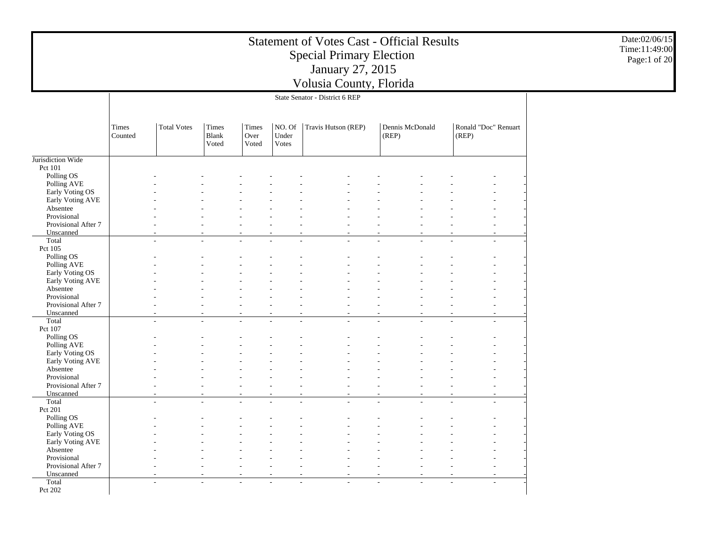|                                    |                  |                    |                                |                        |                          | <b>Statement of Votes Cast - Official Results</b><br><b>Special Primary Election</b><br>January 27, 2015<br>Volusia County, Florida |                          |       |                      | Date:02/06/15<br>Time:11:49:00<br>Page:1 of 20 |
|------------------------------------|------------------|--------------------|--------------------------------|------------------------|--------------------------|-------------------------------------------------------------------------------------------------------------------------------------|--------------------------|-------|----------------------|------------------------------------------------|
|                                    |                  |                    |                                |                        |                          | State Senator - District 6 REP                                                                                                      |                          |       |                      |                                                |
|                                    |                  |                    |                                |                        |                          |                                                                                                                                     |                          |       |                      |                                                |
|                                    | Times<br>Counted | <b>Total Votes</b> | Times<br><b>Blank</b><br>Voted | Times<br>Over<br>Voted | NO. Of<br>Under<br>Votes | Travis Hutson (REP)                                                                                                                 | Dennis McDonald<br>(REP) | (REP) | Ronald "Doc" Renuart |                                                |
| Jurisdiction Wide                  |                  |                    |                                |                        |                          |                                                                                                                                     |                          |       |                      |                                                |
| Pct 101                            |                  |                    |                                |                        |                          |                                                                                                                                     |                          |       |                      |                                                |
| Polling OS                         |                  |                    |                                |                        |                          |                                                                                                                                     |                          |       |                      |                                                |
| Polling AVE                        |                  |                    |                                |                        |                          |                                                                                                                                     |                          |       |                      |                                                |
| Early Voting OS                    |                  |                    |                                |                        |                          |                                                                                                                                     |                          |       |                      |                                                |
| Early Voting AVE                   |                  |                    |                                |                        |                          |                                                                                                                                     |                          |       |                      |                                                |
| Absentee<br>Provisional            |                  |                    |                                |                        |                          |                                                                                                                                     |                          |       |                      |                                                |
| Provisional After 7                |                  |                    |                                |                        |                          |                                                                                                                                     |                          |       |                      |                                                |
| Unscanned                          |                  |                    |                                |                        |                          |                                                                                                                                     |                          |       |                      |                                                |
| Total                              |                  | ÷                  |                                |                        |                          |                                                                                                                                     |                          |       |                      |                                                |
| Pct 105                            |                  |                    |                                |                        |                          |                                                                                                                                     |                          |       |                      |                                                |
| Polling OS                         |                  |                    |                                |                        |                          |                                                                                                                                     |                          |       |                      |                                                |
| Polling AVE                        |                  |                    |                                |                        |                          |                                                                                                                                     |                          |       |                      |                                                |
| Early Voting OS                    |                  |                    |                                |                        |                          |                                                                                                                                     |                          |       |                      |                                                |
| Early Voting AVE<br>Absentee       |                  |                    |                                |                        |                          |                                                                                                                                     |                          |       |                      |                                                |
| Provisional                        |                  |                    |                                |                        |                          |                                                                                                                                     |                          |       |                      |                                                |
| Provisional After 7                |                  |                    |                                |                        |                          |                                                                                                                                     |                          |       |                      |                                                |
| Unscanned                          |                  |                    |                                |                        |                          |                                                                                                                                     |                          |       |                      |                                                |
| Total                              |                  | $\overline{a}$     |                                |                        |                          |                                                                                                                                     |                          |       |                      |                                                |
| Pct 107                            |                  |                    |                                |                        |                          |                                                                                                                                     |                          |       |                      |                                                |
| Polling OS                         |                  |                    |                                |                        |                          |                                                                                                                                     |                          |       |                      |                                                |
| Polling AVE                        |                  |                    |                                |                        |                          |                                                                                                                                     |                          |       |                      |                                                |
| Early Voting OS                    |                  |                    |                                |                        |                          |                                                                                                                                     |                          |       |                      |                                                |
| Early Voting AVE                   |                  |                    |                                |                        |                          |                                                                                                                                     |                          |       |                      |                                                |
| Absentee<br>Provisional            |                  |                    |                                |                        |                          |                                                                                                                                     |                          |       |                      |                                                |
| Provisional After 7                |                  |                    |                                |                        |                          |                                                                                                                                     |                          |       |                      |                                                |
| Unscanned                          |                  |                    |                                |                        |                          |                                                                                                                                     |                          |       |                      |                                                |
| Total                              |                  | $\overline{a}$     | L.                             |                        |                          |                                                                                                                                     |                          |       |                      |                                                |
| Pct 201                            |                  |                    |                                |                        |                          |                                                                                                                                     |                          |       |                      |                                                |
| Polling OS                         |                  |                    |                                |                        |                          |                                                                                                                                     |                          |       |                      |                                                |
| Polling AVE                        |                  |                    |                                |                        |                          |                                                                                                                                     |                          |       |                      |                                                |
| Early Voting OS                    |                  |                    |                                |                        |                          |                                                                                                                                     |                          |       |                      |                                                |
| Early Voting AVE                   |                  |                    |                                |                        |                          |                                                                                                                                     |                          |       |                      |                                                |
| Absentee                           |                  |                    |                                |                        |                          |                                                                                                                                     |                          |       |                      |                                                |
| Provisional<br>Provisional After 7 |                  |                    |                                |                        |                          |                                                                                                                                     |                          |       |                      |                                                |
| Unscanned                          |                  |                    |                                |                        |                          |                                                                                                                                     |                          |       |                      |                                                |
| Total                              |                  | $\overline{a}$     |                                |                        |                          |                                                                                                                                     |                          |       |                      |                                                |
| Pct 202                            |                  |                    |                                |                        |                          |                                                                                                                                     |                          |       |                      |                                                |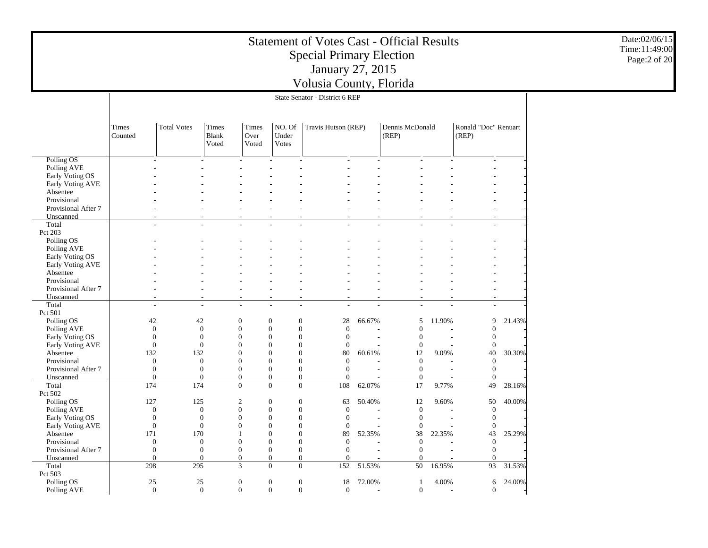|                                     |                  |                          |                              |                                      |                                                      | <b>Statement of Votes Cast - Official Results</b><br><b>Special Primary Election</b><br>January 27, 2015<br>Volusia County, Florida |        |                          |        |                               |        | Date:02/06/15<br>Time:11:49:00<br>Page:2 of 20 |  |
|-------------------------------------|------------------|--------------------------|------------------------------|--------------------------------------|------------------------------------------------------|-------------------------------------------------------------------------------------------------------------------------------------|--------|--------------------------|--------|-------------------------------|--------|------------------------------------------------|--|
|                                     |                  |                          |                              |                                      |                                                      | State Senator - District 6 REP                                                                                                      |        |                          |        |                               |        |                                                |  |
|                                     |                  |                          |                              |                                      |                                                      |                                                                                                                                     |        |                          |        |                               |        |                                                |  |
|                                     | Times<br>Counted | <b>Total Votes</b>       | Times<br>Blank<br>Voted      | Times<br>Over<br>Voted               | NO. Of<br>Under<br><b>Votes</b>                      | Travis Hutson (REP)                                                                                                                 |        | Dennis McDonald<br>(REP) |        | Ronald "Doc" Renuart<br>(REP) |        |                                                |  |
| Polling OS                          |                  |                          |                              |                                      |                                                      |                                                                                                                                     |        |                          |        |                               |        |                                                |  |
| Polling AVE                         |                  |                          |                              |                                      |                                                      |                                                                                                                                     |        |                          |        |                               |        |                                                |  |
| Early Voting OS                     |                  |                          |                              |                                      |                                                      |                                                                                                                                     |        |                          |        |                               |        |                                                |  |
| Early Voting AVE                    |                  |                          |                              |                                      |                                                      |                                                                                                                                     |        |                          |        |                               |        |                                                |  |
| Absentee                            |                  |                          |                              |                                      |                                                      |                                                                                                                                     |        |                          |        |                               |        |                                                |  |
| Provisional                         |                  |                          |                              |                                      |                                                      |                                                                                                                                     |        |                          |        |                               |        |                                                |  |
| Provisional After 7<br>Unscanned    |                  |                          |                              |                                      |                                                      |                                                                                                                                     |        |                          |        |                               |        |                                                |  |
| Total                               |                  |                          |                              |                                      |                                                      |                                                                                                                                     |        |                          |        |                               |        |                                                |  |
| Pct 203                             |                  |                          |                              |                                      |                                                      |                                                                                                                                     |        |                          |        |                               |        |                                                |  |
| Polling OS                          |                  |                          |                              |                                      |                                                      |                                                                                                                                     |        |                          |        |                               |        |                                                |  |
| Polling AVE                         |                  |                          |                              |                                      |                                                      |                                                                                                                                     |        |                          |        |                               |        |                                                |  |
| Early Voting OS                     |                  |                          |                              |                                      |                                                      |                                                                                                                                     |        |                          |        |                               |        |                                                |  |
| Early Voting AVE                    |                  |                          |                              |                                      |                                                      |                                                                                                                                     |        |                          |        |                               |        |                                                |  |
| Absentee                            |                  |                          |                              |                                      |                                                      |                                                                                                                                     |        |                          |        |                               |        |                                                |  |
| Provisional<br>Provisional After 7  |                  |                          |                              |                                      |                                                      |                                                                                                                                     |        |                          |        |                               |        |                                                |  |
| Unscanned                           |                  |                          |                              |                                      |                                                      |                                                                                                                                     |        |                          |        |                               |        |                                                |  |
| Total                               |                  |                          |                              | $\overline{\phantom{a}}$             | $\overline{a}$                                       |                                                                                                                                     |        |                          |        | $\overline{\phantom{a}}$      |        |                                                |  |
| Pct 501                             |                  |                          |                              |                                      |                                                      |                                                                                                                                     |        |                          |        |                               |        |                                                |  |
| Polling OS                          | 42               | 42                       |                              | $\boldsymbol{0}$                     | $\mathbf{0}$<br>$\boldsymbol{0}$                     | 28                                                                                                                                  | 66.67% | 5                        | 11.90% | 9                             | 21.43% |                                                |  |
| Polling AVE                         |                  | $\boldsymbol{0}$         | $\boldsymbol{0}$             | $\boldsymbol{0}$                     | $\theta$<br>$\mathbf{0}$                             | $\mathbf{0}$                                                                                                                        |        | $\mathbf{0}$             |        | $\Omega$                      |        |                                                |  |
| Early Voting OS                     |                  | $\mathbf{0}$             | $\overline{0}$               | $\boldsymbol{0}$                     | $\theta$<br>$\mathbf{0}$                             | $\mathbf{0}$                                                                                                                        |        | $\theta$                 |        | $\boldsymbol{0}$              |        |                                                |  |
| Early Voting AVE<br>Absentee        | 132              | $\mathbf{0}$<br>132      | $\overline{0}$               | $\boldsymbol{0}$<br>$\boldsymbol{0}$ | $\theta$<br>$\theta$<br>$\Omega$<br>$\theta$         | $\theta$<br>80                                                                                                                      | 60.61% | $\mathbf{0}$<br>12       | 9.09%  | $\theta$<br>40                | 30.30% |                                                |  |
| Provisional                         |                  | $\mathbf{0}$             | $\boldsymbol{0}$             | $\boldsymbol{0}$                     | $\theta$<br>$\theta$                                 | $\theta$                                                                                                                            |        | $\mathbf{0}$             |        | $\theta$                      |        |                                                |  |
| Provisional After 7                 |                  | $\mathbf{0}$             | $\boldsymbol{0}$             | $\boldsymbol{0}$                     | $\boldsymbol{0}$<br>$\mathbf{0}$                     | $\overline{0}$                                                                                                                      |        | $\theta$                 |        | $\boldsymbol{0}$              |        |                                                |  |
| Unscanned                           |                  | $\overline{0}$           | $\boldsymbol{0}$             | $\boldsymbol{0}$                     | $\mathbf{0}$<br>$\boldsymbol{0}$                     | $\Omega$                                                                                                                            |        | $\theta$                 |        | $\Omega$                      |        |                                                |  |
| Total                               | 174              | 174                      |                              | $\mathbf{0}$                         | $\mathbf{0}$                                         | $\mathbf{0}$<br>108                                                                                                                 | 62.07% | 17                       | 9.77%  | 49                            | 28.16% |                                                |  |
| Pct 502                             |                  |                          |                              |                                      |                                                      |                                                                                                                                     |        |                          |        |                               |        |                                                |  |
| Polling OS                          | 127              | 125                      |                              | $\overline{c}$                       | $\mathbf{0}$<br>$\boldsymbol{0}$                     | 63                                                                                                                                  | 50.40% | 12                       | 9.60%  | 50                            | 40.00% |                                                |  |
| Polling AVE                         |                  | $\mathbf{0}$             | $\boldsymbol{0}$<br>$\theta$ | $\boldsymbol{0}$<br>$\boldsymbol{0}$ | $\boldsymbol{0}$<br>$\mathbf{0}$<br>$\boldsymbol{0}$ | $\theta$                                                                                                                            |        | $\mathbf{0}$             |        | $\boldsymbol{0}$              |        |                                                |  |
| Early Voting OS<br>Early Voting AVE |                  | $\mathbf{0}$<br>$\Omega$ | $\Omega$                     | $\Omega$                             | $\mathbf{0}$<br>$\Omega$<br>$\Omega$                 | $\mathbf{0}$<br>$\Omega$                                                                                                            |        | $\mathbf{0}$<br>$\Omega$ |        | $\mathbf{0}$<br>$\Omega$      |        |                                                |  |
| Absentee                            | 171              | 170                      |                              | -1                                   | $\mathbf{0}$<br>$\boldsymbol{0}$                     | 89                                                                                                                                  | 52.35% | 38                       | 22.35% | 43                            | 25.29% |                                                |  |
| Provisional                         |                  | $\mathbf{0}$             | $\boldsymbol{0}$             | $\boldsymbol{0}$                     | $\mathbf{0}$<br>$\mathbf{0}$                         | $\mathbf{0}$                                                                                                                        |        | $\mathbf{0}$             |        | $\boldsymbol{0}$              |        |                                                |  |
| Provisional After 7                 |                  | $\boldsymbol{0}$         | $\boldsymbol{0}$             | $\boldsymbol{0}$                     | $\mathbf{0}$<br>$\mathbf{0}$                         | $\mathbf{0}$                                                                                                                        |        | $\mathbf{0}$             |        | $\boldsymbol{0}$              |        |                                                |  |
| Unscanned                           |                  | $\mathbf{0}$             | $\boldsymbol{0}$             | $\mathbf{0}$                         | $\mathbf{0}$<br>$\mathbf{0}$                         | $\mathbf{0}$                                                                                                                        |        | $\mathbf{0}$             |        | $\boldsymbol{0}$              |        |                                                |  |
| Total                               | 298              | 295                      |                              | 3                                    | $\mathbf{0}$                                         | $\mathbf{0}$<br>152                                                                                                                 | 51.53% | 50                       | 16.95% | 93                            | 31.53% |                                                |  |
| Pct 503<br>Polling OS               | $25\,$           | 25                       |                              | $\boldsymbol{0}$                     | $\boldsymbol{0}$                                     | 18<br>$\boldsymbol{0}$                                                                                                              | 72.00% | -1                       | 4.00%  | 6                             | 24.00% |                                                |  |
| Polling AVE                         |                  | $\overline{0}$           | $\mathbf{0}$                 | $\mathbf{0}$                         | $\mathbf{0}$                                         | $\overline{0}$<br>$\mathbf{0}$                                                                                                      |        | $\boldsymbol{0}$         | L.     | $\boldsymbol{0}$              |        |                                                |  |
|                                     |                  |                          |                              |                                      |                                                      |                                                                                                                                     |        |                          |        |                               |        |                                                |  |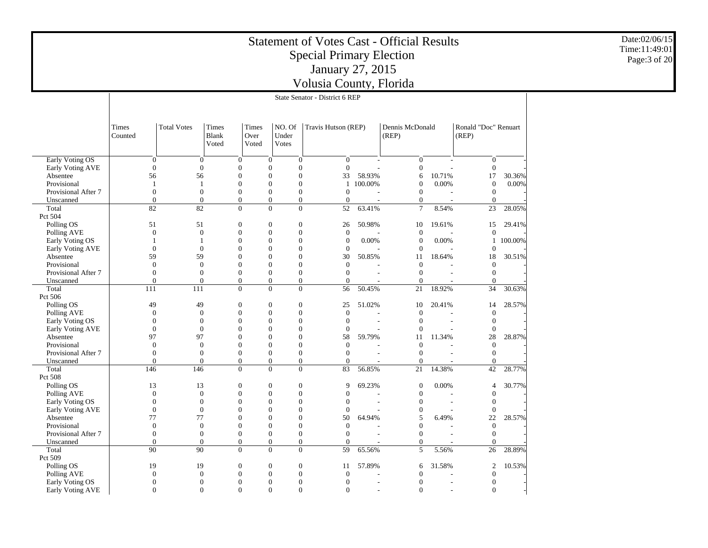|                                     |                              |                                      |                                      |                        |                                                                    | <b>Statement of Votes Cast - Official Results</b><br><b>Special Primary Election</b><br>January 27, 2015 |                |                              |                |                               |           | Date:02/06/15<br>Time:11:49:01 | Page:3 of 20 |
|-------------------------------------|------------------------------|--------------------------------------|--------------------------------------|------------------------|--------------------------------------------------------------------|----------------------------------------------------------------------------------------------------------|----------------|------------------------------|----------------|-------------------------------|-----------|--------------------------------|--------------|
|                                     |                              |                                      |                                      |                        |                                                                    | Volusia County, Florida                                                                                  |                |                              |                |                               |           |                                |              |
|                                     |                              |                                      |                                      |                        |                                                                    | State Senator - District 6 REP                                                                           |                |                              |                |                               |           |                                |              |
|                                     |                              |                                      |                                      |                        |                                                                    |                                                                                                          |                |                              |                |                               |           |                                |              |
|                                     |                              |                                      |                                      |                        |                                                                    |                                                                                                          |                |                              |                |                               |           |                                |              |
|                                     | Times<br>Counted             | <b>Total Votes</b>                   | Times<br>Blank<br>Voted              | Times<br>Over<br>Voted | NO. Of<br>Under<br><b>Votes</b>                                    | Travis Hutson (REP)                                                                                      |                | Dennis McDonald<br>(REP)     |                | Ronald "Doc" Renuart<br>(REP) |           |                                |              |
| <b>Early Voting OS</b>              | $\mathbf{0}$                 | $\mathbf{0}$                         | $\mathbf{0}$                         |                        | $\mathbf{0}$<br>$\theta$                                           | $\mathbf{0}$                                                                                             |                | $\boldsymbol{0}$             |                | $\mathbf{0}$                  |           |                                |              |
| Early Voting AVE                    | $\overline{0}$               | $\theta$                             | $\boldsymbol{0}$                     |                        | $\mathbf{0}$<br>$\mathbf{0}$                                       | $\mathbf{0}$                                                                                             |                | $\theta$                     |                | $\mathbf{0}$                  |           |                                |              |
| Absentee                            | 56                           | 56                                   | $\boldsymbol{0}$                     |                        | $\Omega$<br>$\mathbf{0}$                                           | 33                                                                                                       | 58.93%         | 6                            | 10.71%         | 17                            | 30.36%    |                                |              |
| Provisional                         | -1                           | $\mathbf{1}$                         | $\boldsymbol{0}$                     |                        | $\mathbf{0}$<br>$\mathbf{0}$                                       |                                                                                                          | 1 100.00%      | $\mathbf{0}$                 | 0.00%          | $\mathbf{0}$                  | 0.00%     |                                |              |
| Provisional After 7                 | $\mathbf{0}$                 | $\overline{0}$                       | $\boldsymbol{0}$                     |                        | $\mathbf{0}$<br>$\overline{0}$                                     | $\overline{0}$                                                                                           |                | $\theta$                     |                | $\mathbf{0}$                  |           |                                |              |
| Unscanned                           | $\overline{0}$               | $\overline{0}$                       | $\boldsymbol{0}$                     |                        | $\boldsymbol{0}$<br>$\mathbf{0}$                                   | $\boldsymbol{0}$                                                                                         |                | $\mathbf{0}$                 |                | $\overline{0}$                |           |                                |              |
| Total<br>Pct 504                    | 82                           | 82                                   | $\mathbf{0}$                         |                        | $\Omega$<br>$\overline{0}$                                         | 52                                                                                                       | 63.41%         | $7\phantom{.0}$              | 8.54%          | 23                            | 28.05%    |                                |              |
| Polling OS                          | 51                           | 51                                   | $\boldsymbol{0}$                     |                        | $\mathbf{0}$<br>$\boldsymbol{0}$                                   | 26                                                                                                       | 50.98%         | 10                           | 19.61%         | 15                            | 29.41%    |                                |              |
| Polling AVE                         | $\boldsymbol{0}$             | $\mathbf{0}$                         | $\boldsymbol{0}$                     |                        | $\mathbf{0}$<br>$\mathbf{0}$                                       | $\overline{0}$                                                                                           |                | $\theta$                     |                | $\theta$                      |           |                                |              |
| Early Voting OS                     | $\overline{1}$               | $\mathbf{1}$                         | $\boldsymbol{0}$                     |                        | $\mathbf{0}$<br>$\mathbf{0}$                                       | $\boldsymbol{0}$                                                                                         | 0.00%          | $\mathbf{0}$                 | 0.00%          |                               | 1 100.00% |                                |              |
| Early Voting AVE                    | $\theta$                     | $\mathbf{0}$                         | $\boldsymbol{0}$                     |                        | $\mathbf{0}$<br>$\mathbf{0}$                                       | $\theta$                                                                                                 |                | $\theta$                     |                | $\theta$                      |           |                                |              |
| Absentee                            | 59                           | 59                                   | $\boldsymbol{0}$                     |                        | $\Omega$<br>$\mathbf{0}$                                           | 30                                                                                                       | 50.85%         | 11                           | 18.64%         | 18                            | 30.51%    |                                |              |
| Provisional                         | $\boldsymbol{0}$             | $\theta$                             | $\overline{0}$                       | $\theta$               | $\overline{0}$                                                     | $\theta$                                                                                                 |                | $\theta$                     |                | $\theta$                      |           |                                |              |
| Provisional After 7                 | $\boldsymbol{0}$             | $\boldsymbol{0}$                     | $\boldsymbol{0}$                     |                        | $\mathbf{0}$<br>$\mathbf{0}$                                       | $\mathbf{0}$                                                                                             |                | $\theta$                     |                | $\mathbf{0}$                  |           |                                |              |
| Unscanned                           | $\theta$                     | $\overline{0}$                       | $\boldsymbol{0}$                     |                        | $\boldsymbol{0}$<br>$\mathbf{0}$                                   | $\theta$                                                                                                 |                | $\mathbf{0}$                 |                | $\mathbf{0}$                  |           |                                |              |
| Total                               | 111                          | 111                                  | $\theta$                             |                        | $\Omega$<br>$\overline{0}$                                         | 56                                                                                                       | 50.45%         | 21                           | 18.92%         | 34                            | 30.63%    |                                |              |
| Pct 506                             |                              |                                      |                                      |                        |                                                                    |                                                                                                          |                |                              |                |                               |           |                                |              |
| Polling OS<br>Polling AVE           | 49<br>$\overline{0}$         | 49<br>$\boldsymbol{0}$               | $\boldsymbol{0}$<br>$\mathbf{0}$     |                        | $\boldsymbol{0}$<br>$\mathbf{0}$<br>$\mathbf{0}$<br>$\overline{0}$ | 25<br>$\mathbf{0}$                                                                                       | 51.02%         | 10<br>$\mathbf{0}$           | 20.41%         | 14<br>$\mathbf{0}$            | 28.57%    |                                |              |
| Early Voting OS                     | $\boldsymbol{0}$             | $\boldsymbol{0}$                     | $\boldsymbol{0}$                     | $\Omega$               | $\mathbf{0}$                                                       | $\Omega$                                                                                                 |                | $\mathbf{0}$                 |                | $\overline{0}$                |           |                                |              |
| Early Voting AVE                    | $\theta$                     | $\overline{0}$                       | $\boldsymbol{0}$                     |                        | $\mathbf{0}$<br>$\mathbf{0}$                                       | $\Omega$                                                                                                 |                | $\theta$                     |                | $\theta$                      |           |                                |              |
| Absentee                            | 97                           | 97                                   | $\boldsymbol{0}$                     |                        | $\Omega$<br>$\mathbf{0}$                                           | 58                                                                                                       | 59.79%         | 11                           | 11.34%         | 28                            | 28.87%    |                                |              |
| Provisional                         | $\boldsymbol{0}$             | $\boldsymbol{0}$                     | $\boldsymbol{0}$                     |                        | $\mathbf{0}$<br>$\mathbf{0}$                                       | $\overline{0}$                                                                                           |                | $\mathbf{0}$                 |                | $\boldsymbol{0}$              |           |                                |              |
| Provisional After 7                 | $\boldsymbol{0}$             | $\overline{0}$                       | $\boldsymbol{0}$                     |                        | $\mathbf{0}$<br>$\overline{0}$                                     | $\mathbf{0}$                                                                                             |                | $\theta$                     |                | $\mathbf{0}$                  |           |                                |              |
| Unscanned                           | $\overline{0}$               | $\overline{0}$                       | $\boldsymbol{0}$                     |                        | $\boldsymbol{0}$<br>$\mathbf{0}$                                   | $\mathbf{0}$                                                                                             |                | $\mathbf{0}$                 |                | $\overline{0}$                |           |                                |              |
| Total                               | 146                          | 146                                  | $\mathbf{0}$                         |                        | $\mathbf{0}$<br>$\mathbf{0}$                                       | 83                                                                                                       | 56.85%         | 21                           | 14.38%         | 42                            | 28.77%    |                                |              |
| Pct 508                             |                              |                                      |                                      |                        |                                                                    |                                                                                                          |                |                              |                |                               |           |                                |              |
| Polling OS                          | 13                           | 13                                   | $\boldsymbol{0}$                     |                        | $\boldsymbol{0}$<br>$\boldsymbol{0}$                               | 9                                                                                                        | 69.23%         | $\mathbf{0}$                 | 0.00%          | 4                             | 30.77%    |                                |              |
| Polling AVE                         | $\theta$                     | $\overline{0}$                       | $\mathbf{0}$                         |                        | $\mathbf{0}$<br>$\overline{0}$<br>$\mathbf{0}$                     | $\mathbf{0}$                                                                                             |                | $\mathbf{0}$                 |                | $\overline{0}$                |           |                                |              |
| Early Voting OS<br>Early Voting AVE | $\boldsymbol{0}$<br>$\theta$ | $\boldsymbol{0}$<br>$\boldsymbol{0}$ | $\boldsymbol{0}$<br>$\boldsymbol{0}$ |                        | $\mathbf{0}$<br>$\mathbf{0}$<br>$\mathbf{0}$                       | $\boldsymbol{0}$<br>$\mathbf{0}$                                                                         |                | $\boldsymbol{0}$<br>$\theta$ | $\overline{a}$ | $\boldsymbol{0}$<br>$\theta$  |           |                                |              |
| Absentee                            | 77                           | 77                                   | $\mathbf{0}$                         |                        | $\mathbf{0}$<br>$\overline{0}$                                     | 50                                                                                                       | 64.94%         | 5                            | 6.49%          | 22                            | 28.57%    |                                |              |
| Provisional                         | $\boldsymbol{0}$             | $\boldsymbol{0}$                     | $\boldsymbol{0}$                     | $\Omega$               | $\overline{0}$                                                     | $\mathbf{0}$                                                                                             |                | $\overline{0}$               |                | $\overline{0}$                |           |                                |              |
| Provisional After 7                 | $\mathbf{0}$                 | $\boldsymbol{0}$                     | $\mathbf{0}$                         |                        | $\Omega$<br>$\mathbf{0}$                                           | $\mathbf{0}$                                                                                             |                | $\mathbf{0}$                 |                | $\overline{0}$                |           |                                |              |
| Unscanned                           | $\theta$                     | $\boldsymbol{0}$                     | $\boldsymbol{0}$                     |                        | $\boldsymbol{0}$<br>$\boldsymbol{0}$                               | $\boldsymbol{0}$                                                                                         |                | $\mathbf{0}$                 |                | $\boldsymbol{0}$              |           |                                |              |
| Total                               | 90                           | 90                                   | $\mathbf{0}$                         |                        | $\mathbf{0}$<br>$\theta$                                           | 59                                                                                                       | 65.56%         | 5                            | 5.56%          | 26                            | 28.89%    |                                |              |
| Pct 509                             |                              |                                      |                                      |                        |                                                                    |                                                                                                          |                |                              |                |                               |           |                                |              |
| Polling OS                          | 19                           | 19                                   | $\boldsymbol{0}$                     |                        | $\boldsymbol{0}$<br>$\mathbf{0}$                                   | 11                                                                                                       | 57.89%         | 6                            | 31.58%         | $\mathfrak{2}$                | 10.53%    |                                |              |
| Polling AVE                         | $\theta$                     | $\overline{0}$                       | $\mathbf{0}$                         |                        | $\mathbf{0}$<br>$\overline{0}$                                     | $\mathbf{0}$                                                                                             |                | $\mathbf{0}$                 |                | $\mathbf{0}$                  |           |                                |              |
| Early Voting OS                     | $\boldsymbol{0}$             | $\boldsymbol{0}$                     | $\boldsymbol{0}$                     |                        | $\overline{0}$<br>$\mathbf{0}$                                     | $\boldsymbol{0}$                                                                                         |                | $\boldsymbol{0}$             |                | $\boldsymbol{0}$              |           |                                |              |
| Early Voting AVE                    | $\overline{0}$               | $\theta$                             | $\mathbf{0}$                         |                        | $\overline{0}$<br>$\Omega$                                         | $\theta$                                                                                                 | $\overline{a}$ | $\theta$                     | L.             | $\theta$                      |           |                                |              |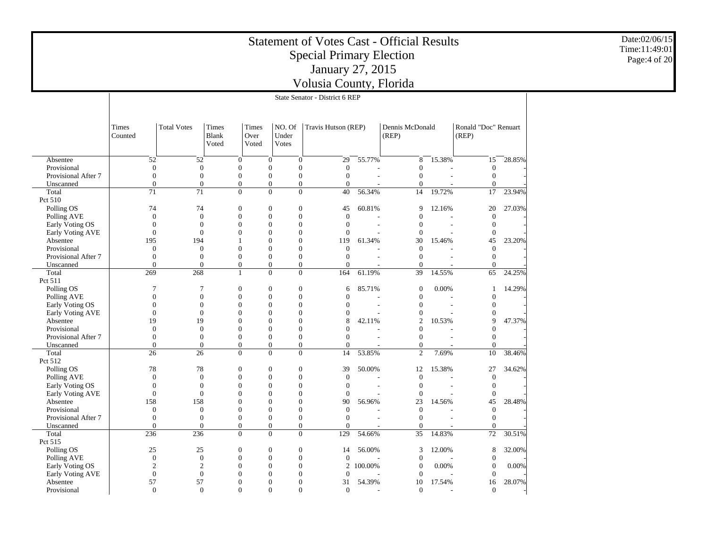|                              |                                    |                                    |                                      |                                      | <b>Statement of Votes Cast - Official Results</b><br><b>Special Primary Election</b><br>January 27, 2015 |                |                   |                          |                   |        | Date:02/06/15<br>Time:11:49:01<br>Page:4 of 20 |
|------------------------------|------------------------------------|------------------------------------|--------------------------------------|--------------------------------------|----------------------------------------------------------------------------------------------------------|----------------|-------------------|--------------------------|-------------------|--------|------------------------------------------------|
|                              |                                    |                                    |                                      |                                      | Volusia County, Florida                                                                                  |                |                   |                          |                   |        |                                                |
|                              |                                    |                                    |                                      |                                      | State Senator - District 6 REP                                                                           |                |                   |                          |                   |        |                                                |
|                              |                                    |                                    |                                      |                                      |                                                                                                          |                |                   |                          |                   |        |                                                |
|                              | Times<br>Counted                   | <b>Total Votes</b>                 | Ronald "Doc" Renuart                 |                                      |                                                                                                          |                |                   |                          |                   |        |                                                |
| Absentee                     | 52                                 | 52                                 | $\boldsymbol{0}$<br>$\mathbf{0}$     | $\boldsymbol{0}$                     | 29                                                                                                       | 55.77%         | 8                 | 15.38%                   | 15                | 28.85% |                                                |
| Provisional                  | $\boldsymbol{0}$                   | $\boldsymbol{0}$                   | $\boldsymbol{0}$                     | $\mathbf{0}$                         | $\boldsymbol{0}$<br>$\mathbf{0}$                                                                         |                | $\boldsymbol{0}$  |                          | $\overline{0}$    |        |                                                |
| Provisional After 7          | $\boldsymbol{0}$                   | $\boldsymbol{0}$                   | $\mathbf{0}$                         | $\mathbf{0}$                         | $\mathbf{0}$<br>$\boldsymbol{0}$                                                                         |                | $\mathbf{0}$      | $\sim$                   | $\mathbf{0}$      |        |                                                |
| Unscanned                    | $\Omega$                           | $\Omega$                           | $\overline{0}$                       | $\mathbf{0}$                         | $\overline{0}$<br>$\Omega$                                                                               |                | $\overline{0}$    |                          | $\Omega$          |        |                                                |
| Total                        | 71                                 | 71                                 | $\boldsymbol{0}$                     | $\overline{0}$<br>$\boldsymbol{0}$   | 40                                                                                                       | 56.34%         | 14                | 19.72%                   | 17                | 23.94% |                                                |
| Pct 510                      |                                    |                                    |                                      |                                      |                                                                                                          |                |                   |                          |                   |        |                                                |
| Polling OS                   | 74                                 | 74                                 | $\overline{0}$                       | $\mathbf{0}$                         | $\boldsymbol{0}$<br>45                                                                                   | 60.81%         | 9                 | 12.16%                   | 20                | 27.03% |                                                |
| Polling AVE                  | $\mathbf{0}$                       | $\boldsymbol{0}$                   | $\boldsymbol{0}$                     | $\mathbf{0}$                         | $\boldsymbol{0}$<br>$\overline{0}$                                                                       |                | $\boldsymbol{0}$  |                          | $\mathbf{0}$      |        |                                                |
| Early Voting OS              | $\mathbf{0}$                       | $\overline{0}$                     | $\overline{0}$                       | $\theta$                             | $\boldsymbol{0}$<br>$\overline{0}$                                                                       | $\overline{a}$ | $\overline{0}$    | $\sim$                   | $\mathbf{0}$      |        |                                                |
| Early Voting AVE             | $\mathbf{0}$                       | $\overline{0}$                     | $\overline{0}$                       | $\mathbf{0}$                         | $\overline{0}$<br>$\overline{0}$                                                                         |                | $\overline{0}$    |                          | $\mathbf{0}$      |        |                                                |
| Absentee                     | 195                                | 194                                | 1                                    | $\Omega$                             | $\boldsymbol{0}$<br>119                                                                                  | 61.34%         | 30                | 15.46%                   | 45                | 23.20% |                                                |
| Provisional                  | $\overline{0}$                     | $\overline{0}$                     | $\overline{0}$                       | $\mathbf{0}$                         | $\overline{0}$<br>$\overline{0}$                                                                         |                | $\overline{0}$    |                          | $\mathbf{0}$      |        |                                                |
| Provisional After 7          | $\boldsymbol{0}$                   | $\boldsymbol{0}$                   | $\boldsymbol{0}$                     | $\mathbf{0}$                         | $\boldsymbol{0}$<br>$\mathbf{0}$                                                                         |                | $\boldsymbol{0}$  |                          | $\boldsymbol{0}$  |        |                                                |
| Unscanned                    | $\overline{0}$                     | $\overline{0}$                     | $\overline{0}$                       | $\boldsymbol{0}$                     | $\boldsymbol{0}$<br>$\mathbf{0}$                                                                         |                | $\mathbf{0}$      |                          | $\overline{0}$    |        |                                                |
| Total                        | 269                                | 268                                | $\mathbf{1}$                         | $\theta$                             | $\overline{0}$<br>164                                                                                    | 61.19%         | 39                | 14.55%                   | 65                | 24.25% |                                                |
| Pct 511                      |                                    |                                    |                                      |                                      |                                                                                                          |                |                   |                          |                   |        |                                                |
| Polling OS                   | $\overline{7}$                     | $\overline{7}$                     | $\mathbf{0}$                         | $\mathbf{0}$                         | $\boldsymbol{0}$<br>6                                                                                    | 85.71%         | $\mathbf{0}$      | 0.00%                    | $\overline{1}$    | 14.29% |                                                |
| Polling AVE                  | $\boldsymbol{0}$                   | $\mathbf{0}$                       | $\mathbf{0}$                         | $\mathbf{0}$                         | $\boldsymbol{0}$<br>$\overline{0}$                                                                       |                | $\mathbf{0}$      |                          | $\mathbf{0}$      |        |                                                |
| Early Voting OS              | $\overline{0}$<br>$\boldsymbol{0}$ | $\overline{0}$<br>$\boldsymbol{0}$ | $\overline{0}$                       | $\overline{0}$<br>$\overline{0}$     | $\overline{0}$<br>$\overline{0}$                                                                         | $\sim$         | $\overline{0}$    | $\overline{\phantom{a}}$ | $\theta$          |        |                                                |
| Early Voting AVE<br>Absentee | 19                                 | 19                                 | $\boldsymbol{0}$<br>$\boldsymbol{0}$ | $\theta$                             | $\boldsymbol{0}$<br>$\mathbf{0}$<br>$\boldsymbol{0}$<br>8                                                | 42.11%         | $\mathbf{0}$<br>2 | 10.53%                   | $\mathbf{0}$<br>9 |        |                                                |
| Provisional                  | $\overline{0}$                     | $\overline{0}$                     | $\overline{0}$                       | $\mathbf{0}$                         | $\overline{0}$<br>$\overline{0}$                                                                         |                | $\overline{0}$    |                          | $\theta$          | 47.37% |                                                |
| Provisional After 7          | $\boldsymbol{0}$                   | $\boldsymbol{0}$                   | $\overline{0}$                       | $\Omega$                             | $\boldsymbol{0}$<br>$\overline{0}$                                                                       |                | $\boldsymbol{0}$  |                          | $\mathbf{0}$      |        |                                                |
| Unscanned                    | $\Omega$                           | $\Omega$                           | $\theta$                             | $\overline{0}$<br>$\theta$           | $\overline{0}$                                                                                           |                | $\overline{0}$    |                          | $\Omega$          |        |                                                |
| Total                        | 26                                 | 26                                 | $\overline{0}$                       | $\theta$<br>$\overline{0}$           | 14                                                                                                       | 53.85%         | 2                 | 7.69%                    | 10                | 38.46% |                                                |
| Pct 512                      |                                    |                                    |                                      |                                      |                                                                                                          |                |                   |                          |                   |        |                                                |
| Polling OS                   | 78                                 | 78                                 | $\mathbf{0}$                         | $\mathbf{0}$                         | $\boldsymbol{0}$<br>39                                                                                   | 50.00%         | 12                | 15.38%                   | 27                | 34.62% |                                                |
| Polling AVE                  | $\mathbf{0}$                       | $\overline{0}$                     | $\overline{0}$                       | $\overline{0}$                       | $\overline{0}$<br>$\overline{0}$                                                                         |                | $\overline{0}$    |                          | $\mathbf{0}$      |        |                                                |
| Early Voting OS              | $\boldsymbol{0}$                   | $\boldsymbol{0}$                   | $\Omega$                             | $\Omega$                             | $\boldsymbol{0}$<br>$\mathbf{0}$                                                                         |                | $\mathbf{0}$      | $\blacksquare$           | $\boldsymbol{0}$  |        |                                                |
| Early Voting AVE             | $\mathbf{0}$                       | $\mathbf{0}$                       | $\boldsymbol{0}$                     | $\boldsymbol{0}$                     | 0<br>$\overline{0}$                                                                                      |                | $\mathbf{0}$      |                          | $\overline{0}$    |        |                                                |
| Absentee                     | 158                                | 158                                | $\boldsymbol{0}$                     | $\overline{0}$                       | $\boldsymbol{0}$<br>90                                                                                   | 56.96%         | 23                | 14.56%                   | 45                | 28.48% |                                                |
| Provisional                  | $\mathbf{0}$                       | $\mathbf{0}$                       | $\boldsymbol{0}$                     | $\boldsymbol{0}$                     | $\boldsymbol{0}$<br>$\mathbf{0}$                                                                         |                | $\boldsymbol{0}$  |                          | $\mathbf{0}$      |        |                                                |
| Provisional After 7          | $\mathbf{0}$                       | $\mathbf{0}$                       | $\boldsymbol{0}$                     | $\theta$                             | $\boldsymbol{0}$<br>$\mathbf{0}$                                                                         |                | $\overline{0}$    |                          | $\theta$          |        |                                                |
| Unscanned                    | $\Omega$                           | $\Omega$                           | $\mathbf{0}$                         | $\overline{0}$                       | $\overline{0}$<br>$\Omega$                                                                               |                | $\overline{0}$    |                          | $\Omega$          |        |                                                |
| Total                        | 236                                | 236                                | $\overline{0}$                       | $\boldsymbol{0}$<br>$\boldsymbol{0}$ | 129                                                                                                      | 54.66%         | 35                | 14.83%                   | 72                | 30.51% |                                                |
| Pct 515                      |                                    |                                    |                                      |                                      |                                                                                                          |                |                   |                          |                   |        |                                                |
| Polling OS                   | 25                                 | 25                                 | $\mathbf{0}$<br>$\overline{0}$       | $\mathbf{0}$                         | 14                                                                                                       | 56.00%         | 3                 | 12.00%                   | 8                 | 32.00% |                                                |
| Polling AVE                  | $\boldsymbol{0}$                   | $\boldsymbol{0}$                   | $\boldsymbol{0}$                     | $\boldsymbol{0}$                     | $\boldsymbol{0}$<br>$\mathbf{0}$                                                                         |                | $\mathbf{0}$      |                          | $\mathbf{0}$      |        |                                                |
| Early Voting OS              | $\overline{c}$                     | $\overline{c}$                     | $\boldsymbol{0}$                     | $\boldsymbol{0}$                     | $\boldsymbol{0}$<br>2                                                                                    | 100.00%        | $\overline{0}$    | 0.00%                    | $\boldsymbol{0}$  | 0.00%  |                                                |
| Early Voting AVE             | $\mathbf{0}$                       | $\mathbf{0}$                       | $\overline{0}$                       | $\theta$                             | $\overline{0}$<br>$\overline{0}$                                                                         |                | $\overline{0}$    |                          | $\Omega$          |        |                                                |
| Absentee                     | 57                                 | 57                                 | $\Omega$                             | $\Omega$                             | $\Omega$<br>31                                                                                           | 54.39%         | 10                | 17.54%                   | 16                | 28.07% |                                                |
| Provisional                  | $\mathbf{0}$                       | $\Omega$                           | $\Omega$                             | $\Omega$                             | $\Omega$<br>$\overline{0}$                                                                               |                | $\overline{0}$    |                          | $\Omega$          |        |                                                |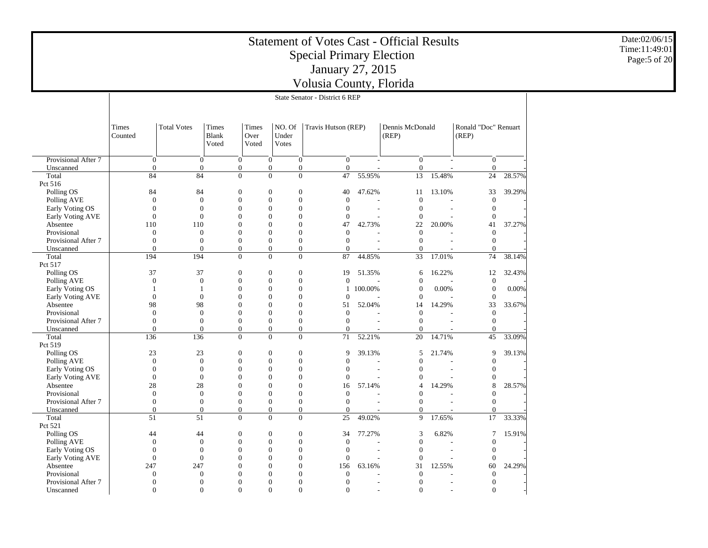|                              |                  |                                     |                                                    |                        |                                                                  | <b>Statement of Votes Cast - Official Results</b><br><b>Special Primary Election</b><br>January 27, 2015 |         |                              |        |                               |        | Date:02/06/15<br>Time:11:49:01<br>Page:5 of 20 |
|------------------------------|------------------|-------------------------------------|----------------------------------------------------|------------------------|------------------------------------------------------------------|----------------------------------------------------------------------------------------------------------|---------|------------------------------|--------|-------------------------------|--------|------------------------------------------------|
|                              |                  |                                     |                                                    |                        |                                                                  | Volusia County, Florida                                                                                  |         |                              |        |                               |        |                                                |
|                              |                  |                                     |                                                    |                        |                                                                  | State Senator - District 6 REP                                                                           |         |                              |        |                               |        |                                                |
|                              |                  |                                     |                                                    |                        |                                                                  |                                                                                                          |         |                              |        |                               |        |                                                |
|                              |                  |                                     |                                                    |                        |                                                                  |                                                                                                          |         |                              |        |                               |        |                                                |
|                              | Times<br>Counted | <b>Total Votes</b>                  | Times<br><b>Blank</b><br>Voted                     | Times<br>Over<br>Voted | NO. Of<br>Under<br>Votes                                         | Travis Hutson (REP)                                                                                      |         | Dennis McDonald<br>(REP)     |        | Ronald "Doc" Renuart<br>(REP) |        |                                                |
| Provisional After 7          |                  | $\boldsymbol{0}$                    | $\mathbf{0}$<br>$\boldsymbol{0}$                   |                        | $\mathbf{0}$<br>$\boldsymbol{0}$                                 | $\mathbf{0}$                                                                                             |         | $\mathbf{0}$                 |        | $\overline{0}$                |        |                                                |
| Unscanned                    |                  | $\theta$                            | $\overline{0}$<br>$\mathbf{0}$                     |                        | $\mathbf{0}$<br>$\boldsymbol{0}$                                 | $\overline{0}$                                                                                           |         | $\mathbf{0}$                 |        | $\overline{0}$                |        |                                                |
| Total                        | 84               | 84                                  | $\overline{0}$                                     |                        | $\overline{0}$<br>$\mathbf{0}$                                   | 47                                                                                                       | 55.95%  | 13                           | 15.48% | 24                            | 28.57% |                                                |
| Pct 516                      |                  |                                     |                                                    |                        |                                                                  |                                                                                                          |         |                              |        |                               |        |                                                |
| Polling OS                   | 84               | 84                                  | $\theta$                                           |                        | $\mathbf{0}$<br>$\mathbf{0}$                                     | 40                                                                                                       | 47.62%  | 11                           | 13.10% | 33                            | 39.29% |                                                |
| Polling AVE                  |                  | $\boldsymbol{0}$                    | $\mathbf{0}$<br>$\boldsymbol{0}$<br>$\overline{0}$ |                        | $\Omega$<br>$\boldsymbol{0}$                                     | $\mathbf{0}$                                                                                             |         | $\mathbf{0}$                 |        | $\boldsymbol{0}$              |        |                                                |
| Early Voting OS              |                  | $\mathbf{0}$<br>$\theta$            | $\theta$<br>$\overline{0}$<br>$\boldsymbol{0}$     |                        | $\mathbf{0}$<br>$\theta$<br>$\boldsymbol{0}$<br>$\boldsymbol{0}$ | $\boldsymbol{0}$<br>$\mathbf{0}$                                                                         |         | $\mathbf{0}$<br>$\mathbf{0}$ |        | $\mathbf{0}$<br>$\theta$      |        |                                                |
| Early Voting AVE<br>Absentee | 110              | 110                                 | $\boldsymbol{0}$                                   |                        | $\mathbf{0}$<br>$\boldsymbol{0}$                                 | 47                                                                                                       | 42.73%  | 22                           | 20.00% | 41                            | 37.27% |                                                |
| Provisional                  |                  | $\mathbf{0}$                        | $\mathbf{0}$<br>$\boldsymbol{0}$                   |                        | $\mathbf{0}$<br>$\theta$                                         | $\mathbf{0}$                                                                                             |         | $\mathbf{0}$                 |        | $\mathbf{0}$                  |        |                                                |
| Provisional After 7          |                  | $\mathbf{0}$                        | $\mathbf{0}$<br>$\overline{0}$                     |                        | $\mathbf{0}$                                                     | $\overline{0}$<br>$\overline{0}$                                                                         |         | $\mathbf{0}$                 |        | $\overline{0}$                |        |                                                |
| Unscanned                    |                  | $\overline{0}$                      | $\overline{0}$<br>$\overline{0}$                   |                        | $\overline{0}$<br>$\overline{0}$                                 | $\Omega$                                                                                                 |         | $\mathbf{0}$                 |        | $\overline{0}$                |        |                                                |
| Total                        | 194              | 194                                 | $\overline{0}$                                     |                        | $\overline{0}$                                                   | $\overline{0}$<br>87                                                                                     | 44.85%  | 33                           | 17.01% | 74                            | 38.14% |                                                |
| Pct 517                      |                  |                                     |                                                    |                        |                                                                  |                                                                                                          |         |                              |        |                               |        |                                                |
| Polling OS                   | 37               | 37                                  | $\boldsymbol{0}$                                   |                        | $\boldsymbol{0}$<br>$\boldsymbol{0}$                             | 19                                                                                                       | 51.35%  | 6                            | 16.22% | 12                            | 32.43% |                                                |
| Polling AVE                  |                  | $\mathbf{0}$                        | $\mathbf{0}$<br>$\overline{0}$                     |                        | $\mathbf{0}$<br>$\mathbf{0}$                                     | $\overline{0}$                                                                                           |         | $\overline{0}$               |        | $\overline{0}$                |        |                                                |
| Early Voting OS              |                  | $\mathbf{1}$                        | $\boldsymbol{0}$<br>$\mathbf{1}$                   |                        | $\mathbf{0}$<br>$\boldsymbol{0}$                                 | 1                                                                                                        | 100.00% | $\boldsymbol{0}$             | 0.00%  | $\mathbf{0}$                  | 0.00%  |                                                |
| Early Voting AVE             |                  | $\theta$                            | $\overline{0}$<br>$\mathbf{0}$<br>$\Omega$         |                        | $\mathbf{0}$<br>$\theta$<br>$\Omega$                             | $\overline{0}$                                                                                           |         | $\mathbf{0}$                 |        | $\mathbf{0}$                  |        |                                                |
| Absentee<br>Provisional      | 98               | 98<br>$\mathbf{0}$                  | $\mathbf{0}$<br>$\theta$                           |                        | $\boldsymbol{0}$<br>$\mathbf{0}$<br>$\theta$                     | 51<br>$\boldsymbol{0}$                                                                                   | 52.04%  | 14<br>$\mathbf{0}$           | 14.29% | 33<br>$\overline{0}$          | 33.67% |                                                |
| Provisional After 7          |                  | $\theta$                            | $\mathbf{0}$<br>$\overline{0}$                     |                        | $\mathbf{0}$                                                     | $\overline{0}$<br>$\overline{0}$                                                                         |         | $\mathbf{0}$                 |        | $\overline{0}$                |        |                                                |
| Unscanned                    |                  | $\mathbf{0}$                        | $\overline{0}$<br>$\boldsymbol{0}$                 |                        | $\boldsymbol{0}$<br>$\boldsymbol{0}$                             | $\overline{0}$                                                                                           |         | $\mathbf{0}$                 |        | $\Omega$                      |        |                                                |
| Total                        | 136              | 136                                 | $\overline{0}$                                     |                        | $\mathbf{0}$                                                     | $\overline{0}$<br>71                                                                                     | 52.21%  | 20                           | 14.71% | 45                            | 33.09% |                                                |
| Pct 519                      |                  |                                     |                                                    |                        |                                                                  |                                                                                                          |         |                              |        |                               |        |                                                |
| Polling OS                   | $23\,$           | 23                                  | $\boldsymbol{0}$                                   |                        | $\boldsymbol{0}$<br>$\boldsymbol{0}$                             | 9                                                                                                        | 39.13%  | 5                            | 21.74% | 9                             | 39.13% |                                                |
| Polling AVE                  |                  | $\mathbf{0}$                        | $\overline{0}$<br>$\mathbf{0}$                     |                        | $\mathbf{0}$<br>$\mathbf{0}$                                     | $\overline{0}$                                                                                           |         | $\boldsymbol{0}$             |        | $\overline{0}$                |        |                                                |
| Early Voting OS              |                  | $\boldsymbol{0}$                    | $\mathbf{0}$<br>$\boldsymbol{0}$                   |                        | $\boldsymbol{0}$<br>$\boldsymbol{0}$                             | $\boldsymbol{0}$                                                                                         |         | $\boldsymbol{0}$             |        | $\mathbf{0}$                  |        |                                                |
| Early Voting AVE             |                  | $\theta$                            | $\overline{0}$<br>$\boldsymbol{0}$                 |                        | $\mathbf{0}$<br>$\boldsymbol{0}$                                 | $\overline{0}$                                                                                           |         | $\boldsymbol{0}$             |        | $\theta$                      |        |                                                |
| Absentee                     | 28               | 28                                  | $\boldsymbol{0}$                                   |                        | $\mathbf{0}$<br>$\mathbf{0}$                                     | 16                                                                                                       | 57.14%  | $\overline{4}$               | 14.29% | 8                             | 28.57% |                                                |
| Provisional                  |                  | $\mathbf{0}$                        | $\overline{0}$<br>$\boldsymbol{0}$                 |                        | $\mathbf{0}$<br>$\mathbf{0}$                                     | $\overline{0}$                                                                                           |         | $\overline{0}$               |        | $\overline{0}$                |        |                                                |
| Provisional After 7          |                  | $\mathbf{0}$                        | $\mathbf{0}$<br>$\overline{0}$<br>$\Omega$         |                        | $\mathbf{0}$<br>$\mathbf{0}$<br>$\Omega$                         | $\overline{0}$                                                                                           |         | $\overline{0}$               |        | $\overline{0}$<br>$\Omega$    |        |                                                |
| Unscanned<br>Total           | $\overline{51}$  | $\boldsymbol{0}$<br>$\overline{51}$ | $\boldsymbol{0}$<br>$\overline{0}$                 |                        | $\boldsymbol{0}$<br>$\overline{0}$                               | $\boldsymbol{0}$<br>$\overline{0}$<br>$\overline{25}$                                                    | 49.02%  | $\boldsymbol{0}$<br>9        | 17.65% | $\overline{17}$               | 33.33% |                                                |
| Pct 521                      |                  |                                     |                                                    |                        |                                                                  |                                                                                                          |         |                              |        |                               |        |                                                |
| Polling OS                   | 44               | 44                                  | $\boldsymbol{0}$                                   |                        | $\boldsymbol{0}$<br>$\boldsymbol{0}$                             | 34                                                                                                       | 77.27%  | 3                            | 6.82%  | 7                             | 15.91% |                                                |
| Polling AVE                  |                  | $\mathbf{0}$                        | $\mathbf{0}$<br>$\boldsymbol{0}$                   |                        | $\boldsymbol{0}$<br>$\boldsymbol{0}$                             | $\mathbf{0}$                                                                                             |         | $\boldsymbol{0}$             |        | $\overline{0}$                |        |                                                |
| Early Voting OS              |                  | $\mathbf{0}$                        | $\overline{0}$<br>$\mathbf{0}$                     |                        | $\Omega$<br>$\mathbf{0}$                                         | $\mathbf{0}$                                                                                             |         | $\overline{0}$               | $\sim$ | $\overline{0}$                |        |                                                |
| Early Voting AVE             |                  | $\mathbf{0}$                        | $\overline{0}$<br>$\mathbf{0}$                     |                        | $\mathbf{0}$<br>$\mathbf{0}$                                     | $\overline{0}$                                                                                           |         | $\overline{0}$               |        | $\mathbf{0}$                  |        |                                                |
| Absentee                     | 247              | 247                                 | $\theta$                                           |                        | $\mathbf{0}$<br>$\theta$                                         | 156                                                                                                      | 63.16%  | 31                           | 12.55% | 60                            | 24.29% |                                                |
| Provisional                  |                  | $\Omega$                            | $\Omega$<br>$\Omega$                               |                        | $\Omega$<br>$\boldsymbol{0}$                                     | $\mathbf{0}$                                                                                             |         | $\mathbf{0}$                 |        | $\theta$                      |        |                                                |
| Provisional After 7          |                  | $\mathbf{0}$                        | $\mathbf{0}$<br>$\boldsymbol{0}$                   |                        | $\boldsymbol{0}$<br>$\boldsymbol{0}$                             | $\mathbf{0}$                                                                                             |         | $\mathbf{0}$                 |        | $\overline{0}$                |        |                                                |
| Unscanned                    |                  | $\mathbf{0}$                        | $\overline{0}$<br>$\Omega$                         |                        | $\mathbf{0}$<br>$\mathbf{0}$                                     | $\overline{0}$                                                                                           | $\sim$  | $\overline{0}$               | $\sim$ | $\overline{0}$                |        |                                                |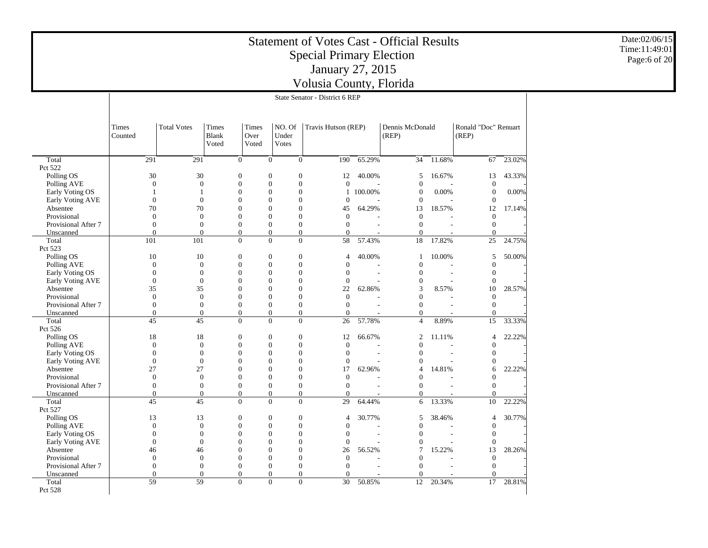|                                     |                                                                                                                           |                                    |                                      |       |                                      |                                    |                                  | <b>Statement of Votes Cast - Official Results</b> |         |                            |           |        |                                  |        | Date:02/06/15  |  |
|-------------------------------------|---------------------------------------------------------------------------------------------------------------------------|------------------------------------|--------------------------------------|-------|--------------------------------------|------------------------------------|----------------------------------|---------------------------------------------------|---------|----------------------------|-----------|--------|----------------------------------|--------|----------------|--|
|                                     |                                                                                                                           |                                    |                                      |       |                                      |                                    |                                  |                                                   |         |                            |           |        |                                  |        | Time: 11:49:01 |  |
|                                     |                                                                                                                           |                                    |                                      |       |                                      |                                    |                                  | <b>Special Primary Election</b>                   |         |                            |           |        |                                  |        | Page:6 of 20   |  |
|                                     |                                                                                                                           |                                    |                                      |       |                                      |                                    |                                  | January 27, 2015                                  |         |                            |           |        |                                  |        |                |  |
|                                     |                                                                                                                           |                                    |                                      |       |                                      |                                    |                                  |                                                   |         |                            |           |        |                                  |        |                |  |
|                                     |                                                                                                                           |                                    |                                      |       |                                      |                                    |                                  | Volusia County, Florida                           |         |                            |           |        |                                  |        |                |  |
|                                     |                                                                                                                           |                                    |                                      |       |                                      |                                    |                                  | State Senator - District 6 REP                    |         |                            |           |        |                                  |        |                |  |
|                                     |                                                                                                                           |                                    |                                      |       |                                      |                                    |                                  |                                                   |         |                            |           |        |                                  |        |                |  |
|                                     | NO. Of<br>Travis Hutson (REP)<br>Ronald "Doc" Renuart<br><b>Total Votes</b><br>Times<br>Times<br>Dennis McDonald<br>Times |                                    |                                      |       |                                      |                                    |                                  |                                                   |         |                            |           |        |                                  |        |                |  |
|                                     | Counted                                                                                                                   |                                    |                                      | Blank | Over                                 | Under                              |                                  |                                                   |         | (REP)                      |           |        | (REP)                            |        |                |  |
|                                     |                                                                                                                           |                                    |                                      | Voted | Voted                                | <b>Votes</b>                       |                                  |                                                   |         |                            |           |        |                                  |        |                |  |
|                                     |                                                                                                                           |                                    |                                      |       |                                      |                                    |                                  |                                                   |         |                            |           |        |                                  |        |                |  |
| Total                               |                                                                                                                           | 291                                | 291                                  |       | $\overline{0}$                       | $\mathbf{0}$                       | $\overline{0}$                   | 190                                               | 65.29%  | 34                         | $-11.68%$ |        | 67                               | 23.02% |                |  |
| Pct 522<br>Polling OS               |                                                                                                                           | 30                                 | 30                                   |       | $\mathbf{0}$                         | $\mathbf{0}$                       | $\mathbf{0}$                     | 12                                                | 40.00%  | 5                          | 16.67%    |        | 13                               | 43.33% |                |  |
| Polling AVE                         |                                                                                                                           | $\mathbf{0}$                       | $\boldsymbol{0}$                     |       | $\boldsymbol{0}$                     | $\boldsymbol{0}$                   | $\boldsymbol{0}$                 | $\mathbf{0}$                                      |         | $\boldsymbol{0}$           |           |        | $\mathbf{0}$                     |        |                |  |
| Early Voting OS                     |                                                                                                                           | $\overline{1}$                     | $\overline{1}$                       |       | $\mathbf{0}$                         | $\mathbf{0}$                       | $\mathbf{0}$                     | $\mathbf{1}$                                      | 100.00% | $\mathbf{0}$               |           | 0.00%  | $\theta$                         | 0.00%  |                |  |
| Early Voting AVE                    |                                                                                                                           | $\overline{0}$                     | $\overline{0}$                       |       | $\boldsymbol{0}$                     | $\theta$                           | $\boldsymbol{0}$                 | $\overline{0}$                                    |         | $\theta$                   |           |        | $\theta$                         |        |                |  |
| Absentee                            |                                                                                                                           | 70                                 | 70                                   |       | $\boldsymbol{0}$                     | $\theta$                           | $\theta$                         | 45                                                | 64.29%  | 13                         | 18.57%    |        | 12                               | 17.14% |                |  |
| Provisional                         |                                                                                                                           | $\mathbf{0}$                       | $\boldsymbol{0}$                     |       | $\boldsymbol{0}$                     | $\mathbf{0}$                       | $\boldsymbol{0}$                 | $\mathbf{0}$                                      |         | $\mathbf{0}$               |           |        | $\Omega$                         |        |                |  |
| Provisional After 7                 |                                                                                                                           | $\mathbf{0}$                       | $\boldsymbol{0}$                     |       | $\mathbf{0}$                         | $\mathbf{0}$                       | $\mathbf{0}$                     | $\mathbf{0}$                                      |         | $\mathbf{0}$               |           | $\sim$ | $\theta$                         |        |                |  |
| Unscanned                           |                                                                                                                           | $\overline{0}$                     | $\theta$                             |       | $\overline{0}$                       | $\mathbf{0}$                       | $\overline{0}$                   | $\overline{0}$                                    |         | $\theta$                   |           |        | $\theta$                         |        |                |  |
| Total                               |                                                                                                                           | 101                                | 101                                  |       | $\boldsymbol{0}$                     | $\mathbf{0}$                       | $\boldsymbol{0}$                 | 58                                                | 57.43%  | 18                         | 17.82%    |        | 25                               | 24.75% |                |  |
| Pct 523                             |                                                                                                                           |                                    |                                      |       |                                      |                                    |                                  |                                                   |         |                            |           |        |                                  |        |                |  |
| Polling OS                          |                                                                                                                           | 10                                 | 10                                   |       | $\boldsymbol{0}$                     | $\mathbf{0}$                       | $\boldsymbol{0}$                 | $\overline{4}$                                    | 40.00%  | 1                          | 10.00%    |        | 5                                | 50.00% |                |  |
| Polling AVE                         |                                                                                                                           | $\overline{0}$                     | $\boldsymbol{0}$                     |       | $\mathbf{0}$                         | $\theta$                           | $\mathbf{0}$                     | $\overline{0}$                                    |         | $\theta$                   |           |        | $\theta$                         |        |                |  |
| Early Voting OS<br>Early Voting AVE |                                                                                                                           | $\overline{0}$<br>$\boldsymbol{0}$ | $\boldsymbol{0}$<br>$\boldsymbol{0}$ |       | $\boldsymbol{0}$<br>$\boldsymbol{0}$ | $\theta$<br>$\boldsymbol{0}$       | $\mathbf{0}$<br>$\boldsymbol{0}$ | $\mathbf{0}$<br>$\mathbf{0}$                      |         | $\theta$<br>$\mathbf{0}$   |           | L,     | $\mathbf{0}$<br>$\boldsymbol{0}$ |        |                |  |
| Absentee                            |                                                                                                                           | 35                                 | 35                                   |       | $\boldsymbol{0}$                     | $\theta$                           | $\mathbf{0}$                     | 22                                                | 62.86%  | 3                          |           | 8.57%  | 10                               | 28.57% |                |  |
| Provisional                         |                                                                                                                           | $\mathbf{0}$                       | $\boldsymbol{0}$                     |       | $\boldsymbol{0}$                     | $\mathbf{0}$                       | $\mathbf{0}$                     | $\mathbf{0}$                                      |         | $\theta$                   |           |        | $\mathbf{0}$                     |        |                |  |
| Provisional After 7                 |                                                                                                                           | $\overline{0}$                     | $\mathbf{0}$                         |       | $\boldsymbol{0}$                     | $\theta$                           | $\theta$                         | $\overline{0}$                                    |         | $\theta$                   |           |        | $\mathbf{0}$                     |        |                |  |
| Unscanned                           |                                                                                                                           | $\mathbf{0}$                       | $\boldsymbol{0}$                     |       | $\boldsymbol{0}$                     | $\mathbf{0}$                       | $\mathbf{0}$                     | $\boldsymbol{0}$                                  |         | $\mathbf{0}$               |           |        | $\boldsymbol{0}$                 |        |                |  |
| Total                               |                                                                                                                           | 45                                 | 45                                   |       | $\mathbf{0}$                         | $\overline{0}$                     | $\mathbf{0}$                     | 26                                                | 57.78%  | $\overline{4}$             |           | 8.89%  | 15                               | 33.33% |                |  |
| Pct 526                             |                                                                                                                           |                                    |                                      |       |                                      |                                    |                                  |                                                   |         |                            |           |        |                                  |        |                |  |
| Polling OS                          |                                                                                                                           | 18                                 | 18                                   |       | $\mathbf{0}$                         | $\mathbf{0}$                       | $\mathbf{0}$                     | 12                                                | 66.67%  | 2                          | 11.11%    |        | $\overline{4}$                   | 22.22% |                |  |
| Polling AVE                         |                                                                                                                           | $\mathbf{0}$                       | $\boldsymbol{0}$                     |       | $\boldsymbol{0}$                     | $\boldsymbol{0}$                   | $\boldsymbol{0}$                 | $\mathbf{0}$                                      |         | $\boldsymbol{0}$           |           |        | $\boldsymbol{0}$                 |        |                |  |
| Early Voting OS                     |                                                                                                                           | $\mathbf{0}$                       | $\boldsymbol{0}$                     |       | $\mathbf{0}$                         | $\mathbf{0}$                       | $\mathbf{0}$                     | $\mathbf{0}$                                      |         | $\mathbf{0}$               |           |        | $\mathbf{0}$                     |        |                |  |
| Early Voting AVE                    |                                                                                                                           | $\overline{0}$                     | $\boldsymbol{0}$                     |       | $\boldsymbol{0}$                     | $\theta$                           | $\mathbf{0}$                     | $\overline{0}$                                    |         | $\theta$                   |           | L,     | $\Omega$                         |        |                |  |
| Absentee                            |                                                                                                                           | 27<br>$\boldsymbol{0}$             | 27<br>$\boldsymbol{0}$               |       | $\overline{0}$                       | $\overline{0}$<br>$\boldsymbol{0}$ | $\theta$<br>$\boldsymbol{0}$     | 17                                                | 62.96%  | $\overline{4}$<br>$\Omega$ | 14.81%    |        | 6<br>$\Omega$                    | 22.22% |                |  |
| Provisional<br>Provisional After 7  |                                                                                                                           | $\overline{0}$                     | $\mathbf{0}$                         |       | $\boldsymbol{0}$<br>$\boldsymbol{0}$ | $\mathbf{0}$                       | $\mathbf{0}$                     | $\mathbf{0}$<br>$\overline{0}$                    |         | $\theta$                   |           |        | $\Omega$                         |        |                |  |
| Unscanned                           |                                                                                                                           | $\overline{0}$                     | $\boldsymbol{0}$                     |       | $\mathbf{0}$                         | $\mathbf{0}$                       | $\mathbf{0}$                     | $\mathbf{0}$                                      |         | $\theta$                   |           |        | $\theta$                         |        |                |  |
| Total                               |                                                                                                                           | 45                                 | 45                                   |       | $\mathbf{0}$                         | $\mathbf{0}$                       | $\mathbf{0}$                     | 29                                                | 64.44%  | 6                          |           | 13.33% | 10                               | 22.22% |                |  |
| Pct 527                             |                                                                                                                           |                                    |                                      |       |                                      |                                    |                                  |                                                   |         |                            |           |        |                                  |        |                |  |
| Polling OS                          |                                                                                                                           | 13                                 | 13                                   |       | $\mathbf{0}$                         | $\mathbf{0}$                       | $\boldsymbol{0}$                 | $\overline{4}$                                    | 30.77%  | 5                          | 38.46%    |        | $\overline{4}$                   | 30.77% |                |  |
| Polling AVE                         |                                                                                                                           | $\overline{0}$                     | $\overline{0}$                       |       | $\boldsymbol{0}$                     | $\theta$                           | $\boldsymbol{0}$                 | $\overline{0}$                                    |         | $\theta$                   |           |        | $\mathbf{0}$                     |        |                |  |
| Early Voting OS                     |                                                                                                                           | $\mathbf{0}$                       | $\boldsymbol{0}$                     |       | $\boldsymbol{0}$                     | $\mathbf{0}$                       | $\mathbf{0}$                     | $\mathbf{0}$                                      |         | $\theta$                   |           |        | $\mathbf{0}$                     |        |                |  |
| Early Voting AVE                    |                                                                                                                           | $\boldsymbol{0}$                   | $\boldsymbol{0}$                     |       | $\boldsymbol{0}$                     | $\boldsymbol{0}$                   | $\boldsymbol{0}$                 | $\mathbf{0}$                                      |         | $\mathbf{0}$               |           |        | $\Omega$                         |        |                |  |
| Absentee                            |                                                                                                                           | 46                                 | 46                                   |       | $\mathbf{0}$                         | $\theta$                           | $\mathbf{0}$                     | 26                                                | 56.52%  | $\tau$                     | 15.22%    |        | 13                               | 28.26% |                |  |
| Provisional                         |                                                                                                                           | $\overline{0}$                     | $\boldsymbol{0}$                     |       | $\boldsymbol{0}$                     | $\theta$                           | $\mathbf{0}$                     | $\overline{0}$                                    |         | $\theta$                   |           |        | $\theta$                         |        |                |  |
| Provisional After 7                 |                                                                                                                           | $\overline{0}$                     | $\theta$                             |       | $\boldsymbol{0}$                     | $\overline{0}$                     | $\theta$                         | $\overline{0}$                                    |         | $\mathbf{0}$               |           |        | $\Omega$                         |        |                |  |
| Unscanned                           |                                                                                                                           | $\Omega$                           | $\boldsymbol{0}$                     |       | $\boldsymbol{0}$                     | $\boldsymbol{0}$                   | $\mathbf{0}$                     | $\mathbf{0}$                                      |         | $\Omega$                   |           |        | $\Omega$                         |        |                |  |
| Total                               |                                                                                                                           | 59                                 | 59                                   |       | $\mathbf{0}$                         | $\overline{0}$                     | $\mathbf{0}$                     | 30                                                | 50.85%  | 12                         | 20.34%    |        | 17                               | 28.81% |                |  |
| Pct 528                             |                                                                                                                           |                                    |                                      |       |                                      |                                    |                                  |                                                   |         |                            |           |        |                                  |        |                |  |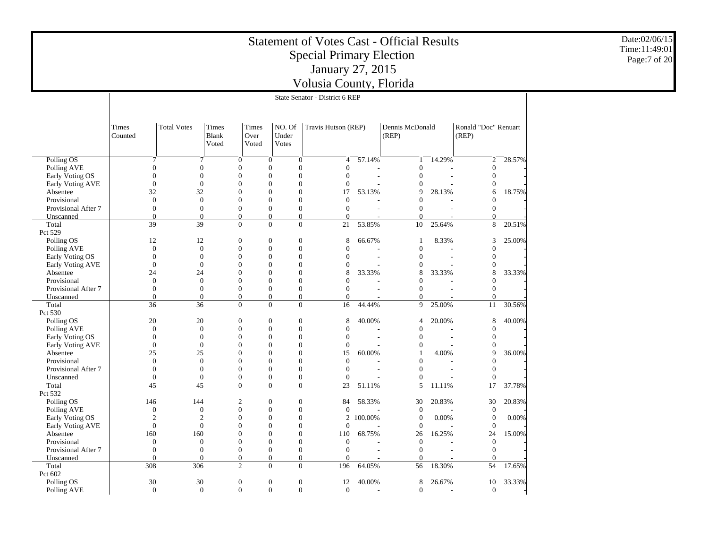| Volusia County, Florida<br>State Senator - District 6 REP                                                                                                                                                                                     |  |
|-----------------------------------------------------------------------------------------------------------------------------------------------------------------------------------------------------------------------------------------------|--|
|                                                                                                                                                                                                                                               |  |
|                                                                                                                                                                                                                                               |  |
|                                                                                                                                                                                                                                               |  |
|                                                                                                                                                                                                                                               |  |
| <b>Total Votes</b><br>NO. Of<br>Travis Hutson (REP)<br>Dennis McDonald<br>Ronald "Doc" Renuart<br>Times<br>Times<br>Times<br>Blank<br>Over<br>Under<br>(REP)<br>(REP)<br>Counted<br>Voted<br>Voted<br><b>Votes</b>                            |  |
| 57.14%<br>14.29%<br>28.57%<br>Polling OS<br>$\boldsymbol{0}$<br>$\mathbf{0}$<br>$\overline{4}$<br>2<br>7<br>7<br>$\boldsymbol{0}$<br>-1                                                                                                       |  |
| Polling AVE<br>$\theta$<br>$\theta$<br>$\theta$<br>$\overline{0}$<br>$\theta$<br>$\Omega$<br>$\theta$<br>$\Omega$                                                                                                                             |  |
| $\theta$<br>$\mathbf{0}$<br>$\boldsymbol{0}$<br>$\theta$<br>$\mathbf{0}$<br>$\theta$<br>Early Voting OS<br>$\Omega$<br>$\theta$                                                                                                               |  |
| $\boldsymbol{0}$<br>Early Voting AVE<br>$\theta$<br>$\boldsymbol{0}$<br>$\theta$<br>$\overline{0}$<br>$\theta$<br>$\theta$                                                                                                                    |  |
| 32<br>$\boldsymbol{0}$<br>32<br>$\theta$<br>$\overline{0}$<br>17<br>53.13%<br>18.75%<br>Absentee<br>9<br>28.13%<br>6                                                                                                                          |  |
| $\overline{0}$<br>$\boldsymbol{0}$<br>$\theta$<br>Provisional<br>$\theta$<br>$\overline{0}$<br>$\Omega$<br>$\theta$<br>$\Omega$                                                                                                               |  |
| $\boldsymbol{0}$<br>$\boldsymbol{0}$<br>$\mathbf{0}$<br>Provisional After 7<br>$\mathbf{0}$<br>$\mathbf{0}$<br>$\Omega$<br>$\theta$<br>$\Omega$                                                                                               |  |
| $\overline{0}$<br>$\mathbf{0}$<br>$\mathbf{0}$<br>$\theta$<br>$\mathbf{0}$<br>$\mathbf{0}$<br>Unscanned<br>$\Omega$<br>$\Omega$                                                                                                               |  |
| 39<br>39<br>$\mathbf{0}$<br>$\mathbf{0}$<br>21<br>53.85%<br>10<br>25.64%<br>8<br>20.51%<br>$\mathbf{0}$<br>Total                                                                                                                              |  |
| Pct 529                                                                                                                                                                                                                                       |  |
| Polling OS<br>66.67%<br>8.33%<br>25.00%<br>12<br>12<br>$\boldsymbol{0}$<br>$\boldsymbol{0}$<br>$\mathbf{0}$<br>8<br>3                                                                                                                         |  |
| $\boldsymbol{0}$<br>$\boldsymbol{0}$<br>$\theta$<br>Polling AVE<br>$\theta$<br>$\mathbf{0}$<br>$\Omega$<br>$\Omega$<br>$\theta$                                                                                                               |  |
| $\boldsymbol{0}$<br>$\mathbf{0}$<br>$\mathbf{0}$<br>$\theta$<br>$\overline{0}$<br>$\Omega$<br>$\mathbf{0}$<br>Early Voting OS<br>$\Omega$                                                                                                     |  |
| $\boldsymbol{0}$<br>$\boldsymbol{0}$<br>$\theta$<br>Early Voting AVE<br>$\theta$<br>$\overline{0}$<br>$\theta$<br>$\Omega$                                                                                                                    |  |
| $\mathbf{0}$<br>33.33%<br>24<br>24<br>$\theta$<br>$\overline{0}$<br>8<br>33.33%<br>8<br>33.33%<br>8<br>Absentee                                                                                                                               |  |
| $\boldsymbol{0}$<br>$\theta$<br>$\theta$<br>$\theta$<br>$\overline{0}$<br>Provisional<br>$\Omega$<br>$\Omega$<br>$\Omega$                                                                                                                     |  |
| $\boldsymbol{0}$<br>$\mathbf{0}$<br>Provisional After 7<br>$\mathbf{0}$<br>$\mathbf{0}$<br>$\mathbf{0}$<br>$\Omega$<br>$\mathbf{0}$<br>$\Omega$                                                                                               |  |
| $\boldsymbol{0}$<br>$\boldsymbol{0}$<br>$\boldsymbol{0}$<br>$\theta$<br>$\mathbf{0}$<br>$\Omega$<br>Unscanned<br>$\Omega$<br>$\Omega$                                                                                                         |  |
| 36<br>36<br>$\mathbf{0}$<br>$\Omega$<br>16<br>25.00%<br>30.56%<br>$\overline{0}$<br>44.44%<br>9<br>11<br>Total                                                                                                                                |  |
| Pct 530                                                                                                                                                                                                                                       |  |
| 20<br>Polling OS<br>20<br>$\boldsymbol{0}$<br>8<br>40.00%<br>20.00%<br>40.00%<br>$\boldsymbol{0}$<br>$\mathbf{0}$<br>8<br>4<br>$\theta$                                                                                                       |  |
| $\boldsymbol{0}$<br>Polling AVE<br>$\mathbf{0}$<br>$\mathbf{0}$<br>$\mathbf{0}$<br>$\Omega$<br>$\theta$<br>$\theta$<br>$\boldsymbol{0}$<br>$\mathbf{0}$<br>$\mathbf{0}$<br>$\theta$<br>$\mathbf{0}$<br>$\theta$<br>$\overline{0}$<br>$\Omega$ |  |
| Early Voting OS<br>$\boldsymbol{0}$<br>$\boldsymbol{0}$<br>Early Voting AVE<br>$\mathbf{0}$<br>$\theta$<br>$\overline{0}$<br>$\theta$<br>$\theta$<br>$\Omega$                                                                                 |  |
| 25<br>$\boldsymbol{0}$<br>25<br>$\theta$<br>$\overline{0}$<br>15<br>60.00%<br>4.00%<br>9<br>36.00%<br>Absentee                                                                                                                                |  |
| $\boldsymbol{0}$<br>$\mathbf{0}$<br>$\mathbf{0}$<br>$\theta$<br>$\overline{0}$<br>Provisional<br>$\theta$<br>$\Omega$<br>$\Omega$                                                                                                             |  |
| $\boldsymbol{0}$<br>$\boldsymbol{0}$<br>$\boldsymbol{0}$<br>Provisional After 7<br>$\mathbf{0}$<br>$\mathbf{0}$<br>$\Omega$<br>$\theta$<br>$\Omega$                                                                                           |  |
| $\boldsymbol{0}$<br>$\mathbf{0}$<br>$\boldsymbol{0}$<br>$\theta$<br>$\mathbf{0}$<br>$\theta$<br>Unscanned<br>$\Omega$<br>$\Omega$                                                                                                             |  |
| 45<br>45<br>$\mathbf{0}$<br>$\mathbf{0}$<br>23<br>51.11%<br>5<br>17<br>37.78%<br>$\theta$<br>11.11%<br>Total                                                                                                                                  |  |
| Pct 532                                                                                                                                                                                                                                       |  |
| Polling OS<br>20.83%<br>20.83%<br>146<br>144<br>$\boldsymbol{0}$<br>$\mathbf{0}$<br>84<br>58.33%<br>30<br>30<br>2                                                                                                                             |  |
| $\boldsymbol{0}$<br>Polling AVE<br>$\mathbf{0}$<br>$\mathbf{0}$<br>$\boldsymbol{0}$<br>$\mathbf{0}$<br>$\mathbf{0}$<br>$\boldsymbol{0}$<br>$\theta$                                                                                           |  |
| $\boldsymbol{0}$<br>$\overline{2}$<br>$\overline{2}$<br>$\theta$<br>$\overline{0}$<br>2 100.00%<br>$\mathbf{0}$<br>0.00%<br>$\boldsymbol{0}$<br>0.00%<br>Early Voting OS                                                                      |  |
| $\Omega$<br>$\Omega$<br>$\Omega$<br>Early Voting AVE<br>$\Omega$<br>$\Omega$<br>$\Omega$<br>$\Omega$<br>$\overline{0}$                                                                                                                        |  |
| 160<br>160<br>$\boldsymbol{0}$<br>110<br>16.25%<br>24<br>15.00%<br>Absentee<br>$\boldsymbol{0}$<br>$\mathbf{0}$<br>68.75%<br>26                                                                                                               |  |
| $\boldsymbol{0}$<br>$\boldsymbol{0}$<br>Provisional<br>$\mathbf{0}$<br>$\boldsymbol{0}$<br>$\overline{0}$<br>$\boldsymbol{0}$<br>$\mathbf{0}$<br>$\mathbf{0}$                                                                                 |  |
| $\boldsymbol{0}$<br>$\boldsymbol{0}$<br>$\mathbf{0}$<br>$\boldsymbol{0}$<br>Provisional After 7<br>$\mathbf{0}$<br>$\boldsymbol{0}$<br>$\mathbf{0}$<br>$\mathbf{0}$                                                                           |  |
| $\boldsymbol{0}$<br>$\boldsymbol{0}$<br>$\boldsymbol{0}$<br>Unscanned<br>$\boldsymbol{0}$<br>$\overline{0}$<br>$\boldsymbol{0}$<br>$\Omega$<br>$\theta$                                                                                       |  |
| 308<br>$\overline{2}$<br>$\boldsymbol{0}$<br>64.05%<br>18.30%<br>54<br>17.65%<br>Total<br>306<br>$\mathbf{0}$<br>196<br>56<br>Pct 602                                                                                                         |  |
| Polling OS<br>30<br>30<br>40.00%<br>8<br>26.67%<br>33.33%<br>$\mathbf{0}$<br>$\boldsymbol{0}$<br>12<br>10<br>$\mathbf{0}$                                                                                                                     |  |
| $\mathbf{0}$<br>$\mathbf{0}$<br>Polling AVE<br>$\mathbf{0}$<br>$\mathbf{0}$<br>$\mathbf{0}$<br>$\mathbf{0}$<br>$\boldsymbol{0}$<br>$\mathbf{0}$                                                                                               |  |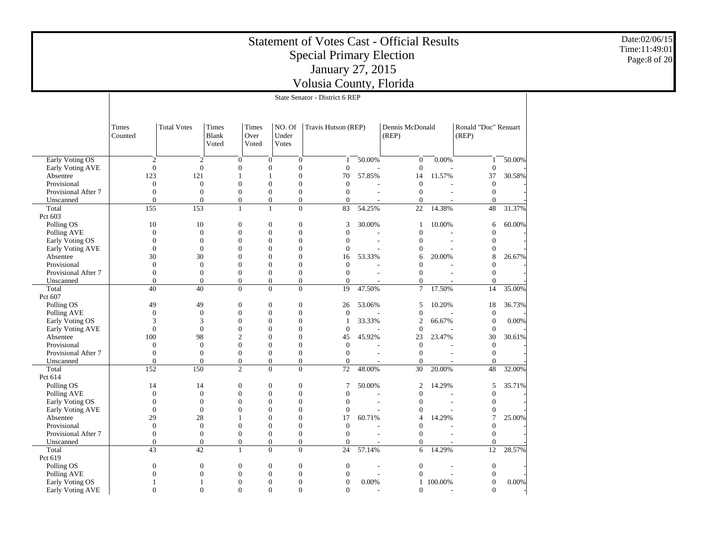|                     |                  |                              |                                    |                                    | <b>Statement of Votes Cast - Official Results</b><br><b>Special Primary Election</b> |                                |        | Date:02/06/15<br>Time:11:49:01<br>Page:8 of 20 |                |                              |        |  |
|---------------------|------------------|------------------------------|------------------------------------|------------------------------------|--------------------------------------------------------------------------------------|--------------------------------|--------|------------------------------------------------|----------------|------------------------------|--------|--|
|                     |                  |                              |                                    |                                    |                                                                                      | January 27, 2015               |        |                                                |                |                              |        |  |
|                     |                  |                              |                                    |                                    |                                                                                      | Volusia County, Florida        |        |                                                |                |                              |        |  |
|                     |                  |                              |                                    |                                    |                                                                                      | State Senator - District 6 REP |        |                                                |                |                              |        |  |
|                     |                  |                              |                                    |                                    |                                                                                      |                                |        |                                                |                |                              |        |  |
|                     |                  |                              |                                    |                                    |                                                                                      |                                |        |                                                |                |                              |        |  |
|                     | Times<br>Counted | <b>Total Votes</b>           | Ronald "Doc" Renuart               |                                    |                                                                                      |                                |        |                                                |                |                              |        |  |
| Early Voting OS     |                  | $\overline{2}$               | $\overline{2}$                     | $\mathbf{0}$                       | $\boldsymbol{0}$<br>$\boldsymbol{0}$                                                 | 1                              | 50.00% | $\boldsymbol{0}$                               | 0.00%          | $\mathbf{1}$                 | 50.00% |  |
| Early Voting AVE    |                  | $\theta$                     | $\theta$                           | $\mathbf{0}$                       | $\mathbf{0}$<br>$\mathbf{0}$                                                         | $\mathbf{0}$                   |        | $\theta$                                       |                | $\mathbf{0}$                 |        |  |
| Absentee            | 123              | 121                          |                                    | $\overline{1}$                     | $\overline{0}$                                                                       | 70                             | 57.85% | 14                                             | 11.57%         | 37                           | 30.58% |  |
| Provisional         |                  | $\boldsymbol{0}$             | $\boldsymbol{0}$                   | $\boldsymbol{0}$                   | $\boldsymbol{0}$<br>$\mathbf{0}$                                                     | $\boldsymbol{0}$               |        | $\mathbf{0}$                                   |                | $\boldsymbol{0}$             |        |  |
| Provisional After 7 |                  | $\theta$                     | $\overline{0}$                     | $\mathbf{0}$                       | $\mathbf{0}$<br>$\overline{0}$                                                       | $\mathbf{0}$                   |        | $\theta$                                       |                | $\theta$                     |        |  |
| Unscanned           |                  | $\Omega$                     | $\boldsymbol{0}$                   | $\boldsymbol{0}$                   | $\boldsymbol{0}$<br>$\boldsymbol{0}$                                                 | $\boldsymbol{0}$               |        | $\mathbf{0}$                                   |                | $\boldsymbol{0}$             |        |  |
| Total               | 155              | 153                          |                                    | $\mathbf{1}$                       | $\mathbf{1}$                                                                         | $\boldsymbol{0}$<br>83         | 54.25% | 22                                             | 14.38%         | $48\,$                       | 31.37% |  |
| Pct 603             |                  |                              |                                    |                                    |                                                                                      |                                |        |                                                |                |                              |        |  |
| Polling OS          |                  | 10<br>10                     |                                    | $\boldsymbol{0}$                   | $\boldsymbol{0}$<br>$\mathbf{0}$                                                     | 3                              | 30.00% | -1                                             | 10.00%         | 6                            | 60.00% |  |
| Polling AVE         |                  | $\mathbf{0}$                 | $\mathbf{0}$                       | $\boldsymbol{0}$                   | $\mathbf{0}$<br>$\mathbf{0}$                                                         | $\mathbf{0}$                   |        | $\theta$                                       |                | $\mathbf{0}$                 |        |  |
| Early Voting OS     |                  | $\overline{0}$               | $\overline{0}$                     | $\mathbf{0}$                       | $\mathbf{0}$<br>$\overline{0}$                                                       | $\theta$                       |        | $\theta$                                       |                | $\mathbf{0}$                 |        |  |
| Early Voting AVE    |                  | $\overline{0}$               | $\overline{0}$                     | $\mathbf{0}$                       | $\mathbf{0}$<br>$\mathbf{0}$                                                         | $\mathbf{0}$                   |        | $\theta$                                       |                | $\theta$                     |        |  |
| Absentee            |                  | 30<br>30                     |                                    | $\boldsymbol{0}$                   | $\mathbf{0}$<br>$\overline{0}$                                                       | 16                             | 53.33% | 6                                              | 20.00%         | 8                            | 26.67% |  |
| Provisional         |                  | $\boldsymbol{0}$             | $\Omega$                           | $\boldsymbol{0}$                   | $\Omega$<br>$\Omega$                                                                 | $\Omega$                       |        | $\Omega$                                       |                | $\Omega$                     |        |  |
| Provisional After 7 |                  | $\mathbf{0}$                 | $\mathbf{0}$                       | $\boldsymbol{0}$                   | $\boldsymbol{0}$<br>$\mathbf{0}$                                                     | $\theta$                       |        | $\theta$                                       |                | $\theta$                     |        |  |
| Unscanned           |                  | $\Omega$                     | $\overline{0}$                     | $\mathbf{0}$                       | $\mathbf{0}$<br>$\overline{0}$                                                       | $\theta$                       |        | $\Omega$                                       |                | $\mathbf{0}$                 |        |  |
| Total               |                  | 40<br>40                     |                                    | $\mathbf{0}$                       | $\mathbf{0}$<br>$\mathbf{0}$                                                         | 19                             | 47.50% | $7\phantom{.0}$                                | 17.50%         | 14                           | 35.00% |  |
| Pct 607             |                  |                              |                                    |                                    |                                                                                      |                                |        |                                                |                |                              |        |  |
| Polling OS          |                  | 49<br>49                     |                                    | $\boldsymbol{0}$                   | $\boldsymbol{0}$<br>$\boldsymbol{0}$                                                 | 26                             | 53.06% | $\sqrt{5}$                                     | 10.20%         | 18                           | 36.73% |  |
| Polling AVE         |                  | $\boldsymbol{0}$             | $\boldsymbol{0}$                   | $\boldsymbol{0}$                   | $\mathbf{0}$<br>$\mathbf{0}$                                                         | $\mathbf{0}$                   |        | $\boldsymbol{0}$                               |                | $\theta$                     |        |  |
| Early Voting OS     |                  | 3                            | 3                                  | $\mathbf{0}$                       | $\Omega$<br>$\overline{0}$                                                           | $\overline{1}$                 | 33.33% | $\overline{2}$                                 | 66.67%         | $\mathbf{0}$                 | 0.00%  |  |
| Early Voting AVE    |                  | $\boldsymbol{0}$             | $\boldsymbol{0}$                   | $\boldsymbol{0}$                   | $\boldsymbol{0}$<br>$\mathbf{0}$                                                     | $\boldsymbol{0}$               |        | $\boldsymbol{0}$                               |                | $\boldsymbol{0}$             |        |  |
| Absentee            | 100              | 98                           |                                    | $\mathfrak{2}$                     | $\mathbf{0}$<br>$\mathbf{0}$                                                         | 45                             | 45.92% | 23                                             | 23.47%         | 30                           | 30.61% |  |
| Provisional         |                  | $\overline{0}$               | $\overline{0}$                     | $\mathbf{0}$                       | $\mathbf{0}$<br>$\overline{0}$                                                       | $\mathbf{0}$                   |        | $\mathbf{0}$                                   |                | $\mathbf{0}$                 |        |  |
| Provisional After 7 |                  | $\boldsymbol{0}$<br>$\Omega$ | $\boldsymbol{0}$<br>$\overline{0}$ | $\boldsymbol{0}$                   | $\boldsymbol{0}$<br>$\mathbf{0}$                                                     | $\boldsymbol{0}$               |        | $\boldsymbol{0}$                               |                | $\boldsymbol{0}$<br>$\theta$ |        |  |
| Unscanned           | 152              | 150                          |                                    | $\boldsymbol{0}$<br>$\overline{2}$ | $\mathbf{0}$<br>$\mathbf{0}$<br>$\Omega$<br>$\mathbf{0}$                             | $\mathbf{0}$<br>72             | 48.00% | $\theta$<br>30                                 | 20.00%         | 48                           | 32.00% |  |
| Total<br>Pct 614    |                  |                              |                                    |                                    |                                                                                      |                                |        |                                                |                |                              |        |  |
| Polling OS          |                  | 14<br>14                     |                                    | $\mathbf{0}$                       | $\mathbf{0}$<br>$\boldsymbol{0}$                                                     | 7                              | 50.00% | $\overline{c}$                                 | 14.29%         | 5                            | 35.71% |  |
| Polling AVE         |                  | $\boldsymbol{0}$             | $\boldsymbol{0}$                   | $\boldsymbol{0}$                   | $\boldsymbol{0}$<br>$\overline{0}$                                                   | $\overline{0}$                 |        | $\boldsymbol{0}$                               |                | $\boldsymbol{0}$             |        |  |
| Early Voting OS     |                  | $\theta$                     | $\overline{0}$                     | $\mathbf{0}$                       | $\theta$<br>$\overline{0}$                                                           | $\theta$                       |        | $\theta$                                       |                | $\mathbf{0}$                 |        |  |
| Early Voting AVE    |                  | $\boldsymbol{0}$             | $\boldsymbol{0}$                   | $\boldsymbol{0}$                   | $\boldsymbol{0}$<br>$\mathbf{0}$                                                     | $\boldsymbol{0}$               |        | $\Omega$                                       |                | $\Omega$                     |        |  |
| Absentee            |                  | 29<br>28                     |                                    | -1                                 | $\mathbf{0}$<br>$\mathbf{0}$                                                         | 17                             | 60.71% | $\overline{4}$                                 | 14.29%         | 7                            | 25.00% |  |
| Provisional         |                  | $\boldsymbol{0}$             | $\mathbf{0}$                       | $\mathbf{0}$                       | $\mathbf{0}$<br>$\overline{0}$                                                       | $\mathbf{0}$                   |        | $\Omega$                                       |                | $\mathbf{0}$                 |        |  |
| Provisional After 7 |                  | $\mathbf{0}$                 | $\boldsymbol{0}$                   | $\boldsymbol{0}$                   | $\boldsymbol{0}$<br>$\mathbf{0}$                                                     | $\boldsymbol{0}$               |        | $\theta$                                       |                | $\boldsymbol{0}$             |        |  |
| Unscanned           |                  | $\theta$                     | $\overline{0}$                     | $\mathbf{0}$                       | $\mathbf{0}$<br>$\overline{0}$                                                       | $\mathbf{0}$                   |        | $\Omega$                                       |                | $\mathbf{0}$                 |        |  |
| Total               |                  | 43<br>42                     |                                    | $\overline{1}$                     | $\mathbf{0}$<br>$\overline{0}$                                                       | 24                             | 57.14% | 6                                              | 14.29%         | 12                           | 28.57% |  |
| Pct 619             |                  |                              |                                    |                                    |                                                                                      |                                |        |                                                |                |                              |        |  |
| Polling OS          |                  | $\mathbf{0}$                 | $\mathbf{0}$                       | $\boldsymbol{0}$                   | $\boldsymbol{0}$<br>$\boldsymbol{0}$                                                 | $\boldsymbol{0}$               |        | $\boldsymbol{0}$                               |                | $\mathbf{0}$                 |        |  |
| Polling AVE         |                  | $\Omega$                     | $\mathbf{0}$                       | $\boldsymbol{0}$                   | $\boldsymbol{0}$<br>$\mathbf{0}$                                                     | $\boldsymbol{0}$               | $\sim$ | $\boldsymbol{0}$                               | $\overline{a}$ | $\Omega$                     |        |  |
| Early Voting OS     |                  |                              | $\overline{1}$                     | $\boldsymbol{0}$                   | $\mathbf{0}$<br>$\mathbf{0}$                                                         | $\boldsymbol{0}$               | 0.00%  | 1                                              | 100.00%        | $\boldsymbol{0}$             | 0.00%  |  |
| Early Voting AVE    |                  | $\overline{0}$               | $\overline{0}$                     | $\mathbf{0}$                       | $\Omega$<br>$\overline{0}$                                                           | $\mathbf{0}$                   |        | $\theta$                                       |                | $\mathbf{0}$                 |        |  |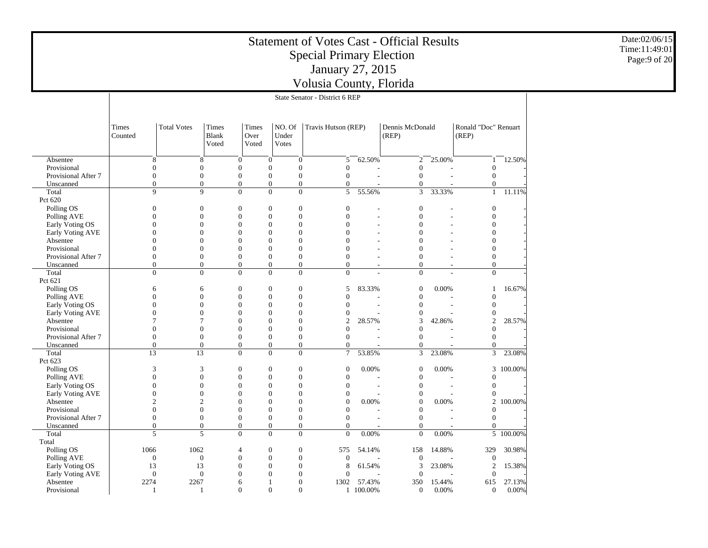|                           |                  |                                    |                                |                                    |                              | <b>Statement of Votes Cast - Official Results</b><br><b>Special Primary Election</b><br>January 27, 2015<br>Volusia County, Florida |               |                              |                |                               |           | Date:02/06/15<br>Time:11:49:01<br>Page:9 of 20 |  |
|---------------------------|------------------|------------------------------------|--------------------------------|------------------------------------|------------------------------|-------------------------------------------------------------------------------------------------------------------------------------|---------------|------------------------------|----------------|-------------------------------|-----------|------------------------------------------------|--|
|                           |                  |                                    |                                |                                    |                              | State Senator - District 6 REP                                                                                                      |               |                              |                |                               |           |                                                |  |
|                           |                  |                                    |                                |                                    |                              |                                                                                                                                     |               |                              |                |                               |           |                                                |  |
|                           |                  |                                    |                                |                                    |                              |                                                                                                                                     |               |                              |                |                               |           |                                                |  |
|                           | Times<br>Counted | <b>Total Votes</b>                 | Times<br><b>Blank</b><br>Voted | Times<br>Over<br>Voted             | NO. Of<br>Under<br>Votes     | Travis Hutson (REP)                                                                                                                 |               | Dennis McDonald<br>(REP)     |                | Ronald "Doc" Renuart<br>(REP) |           |                                                |  |
| Absentee                  |                  | 8                                  | 8                              | $\mathbf{0}$                       | $\mathbf{0}$                 | 5<br>$\mathbf{0}$                                                                                                                   | 62.50%        | $\overline{2}$               | 25.00%         | $\mathbf{1}$                  | 12.50%    |                                                |  |
| Provisional               |                  | $\boldsymbol{0}$                   | $\overline{0}$                 | $\mathbf{0}$                       | $\boldsymbol{0}$             | $\mathbf{0}$<br>$\mathbf{0}$                                                                                                        |               | $\overline{0}$               |                | $\overline{0}$                |           |                                                |  |
| Provisional After 7       |                  | $\overline{0}$                     | $\overline{0}$                 | $\overline{0}$                     | $\overline{0}$               | $\overline{0}$<br>$\overline{0}$                                                                                                    |               | $\overline{0}$               |                | $\overline{0}$                |           |                                                |  |
| Unscanned                 |                  | $\boldsymbol{0}$                   | $\overline{0}$                 | $\boldsymbol{0}$                   | $\mathbf{0}$                 | $\boldsymbol{0}$<br>$\boldsymbol{0}$                                                                                                |               | $\mathbf{0}$                 |                | $\Omega$                      |           |                                                |  |
| Total                     |                  | $\overline{9}$                     | 9                              | $\overline{0}$                     | $\overline{0}$               | $\overline{0}$                                                                                                                      | $5 - 55.56\%$ | $\overline{3}$               | 33.33%         | $\mathbf{1}$                  | 11.11%    |                                                |  |
| Pct 620                   |                  |                                    |                                |                                    |                              |                                                                                                                                     |               |                              |                |                               |           |                                                |  |
| Polling OS                |                  | $\boldsymbol{0}$                   | $\overline{0}$                 | $\mathbf{0}$                       | $\theta$                     | $\boldsymbol{0}$<br>$\mathbf{0}$                                                                                                    |               | $\boldsymbol{0}$             |                | $\mathbf{0}$                  |           |                                                |  |
| Polling AVE               |                  | $\theta$                           | $\overline{0}$                 | $\mathbf{0}$                       | $\boldsymbol{0}$             | $\mathbf{0}$<br>$\overline{0}$                                                                                                      |               | $\mathbf{0}$                 | $\overline{a}$ | $\mathbf{0}$                  |           |                                                |  |
| Early Voting OS           |                  | $\Omega$                           | $\theta$                       | $\overline{0}$                     | $\theta$                     | $\overline{0}$<br>$\Omega$                                                                                                          |               | $\theta$                     |                | $\theta$                      |           |                                                |  |
| Early Voting AVE          |                  | $\Omega$<br>0                      | $\Omega$                       | $\boldsymbol{0}$<br>$\mathbf{0}$   | $\theta$<br>$\boldsymbol{0}$ | $\Omega$<br>$\theta$<br>$\theta$                                                                                                    |               | $\theta$                     | ÷              | $\Omega$<br>$\theta$          |           |                                                |  |
| Absentee<br>Provisional   |                  | $\Omega$                           | 0<br>$\overline{0}$            | $\overline{0}$                     | $\theta$                     | $\boldsymbol{0}$<br>$\overline{0}$<br>$\Omega$                                                                                      |               | 0<br>$\overline{0}$          |                | $\Omega$                      |           |                                                |  |
| Provisional After 7       |                  | $\boldsymbol{0}$                   | $\overline{0}$                 | $\boldsymbol{0}$                   | $\boldsymbol{0}$             | $\mathbf{0}$<br>$\theta$                                                                                                            | $\sim$        | $\mathbf{0}$                 | $\sim$         | $\mathbf{0}$                  |           |                                                |  |
| Unscanned                 |                  | $\overline{0}$                     | $\overline{0}$                 | $\boldsymbol{0}$                   | $\boldsymbol{0}$             | $\boldsymbol{0}$<br>$\overline{0}$                                                                                                  | $\sim$        | $\boldsymbol{0}$             | $\sim$         | $\overline{0}$                |           |                                                |  |
| Total                     |                  | $\overline{0}$                     | $\overline{0}$                 | $\overline{0}$                     | $\overline{0}$               | $\overline{0}$<br>$\overline{0}$                                                                                                    |               | $\overline{0}$               |                | $\overline{0}$                |           |                                                |  |
| Pct 621                   |                  |                                    |                                |                                    |                              |                                                                                                                                     |               |                              |                |                               |           |                                                |  |
| Polling OS                |                  | 6                                  | 6                              | $\mathbf{0}$                       | $\theta$                     | 5<br>$\boldsymbol{0}$                                                                                                               | 83.33%        | $\boldsymbol{0}$             | 0.00%          | 1                             | 16.67%    |                                                |  |
| Polling AVE               |                  | $\overline{0}$                     | $\overline{0}$                 | $\mathbf{0}$                       | $\boldsymbol{0}$             | $\mathbf{0}$<br>$\mathbf{0}$                                                                                                        |               | $\mathbf{0}$                 |                | $\overline{0}$                |           |                                                |  |
| Early Voting OS           |                  | $\Omega$                           | $\overline{0}$                 | $\overline{0}$                     | $\theta$                     | $\overline{0}$<br>$\overline{0}$                                                                                                    |               | $\overline{0}$               |                | $\mathbf{0}$                  |           |                                                |  |
| Early Voting AVE          |                  | $\overline{0}$                     | $\overline{0}$                 | $\boldsymbol{0}$                   | $\boldsymbol{0}$             | $\boldsymbol{0}$<br>$\boldsymbol{0}$                                                                                                |               | $\boldsymbol{0}$             |                | $\boldsymbol{0}$              |           |                                                |  |
| Absentee                  |                  | 7                                  | 7                              | $\overline{0}$                     | $\theta$                     | 2<br>$\overline{0}$                                                                                                                 | 28.57%        | 3                            | 42.86%         | $\overline{2}$                | 28.57%    |                                                |  |
| Provisional               |                  | $\Omega$                           | $\Omega$                       | $\theta$                           | $\mathbf{0}$                 | $\overline{0}$<br>$\overline{0}$                                                                                                    |               | $\overline{0}$               |                | $\Omega$                      |           |                                                |  |
| Provisional After 7       |                  | $\boldsymbol{0}$<br>$\overline{0}$ | $\mathbf{0}$<br>$\overline{0}$ | $\boldsymbol{0}$<br>$\overline{0}$ | $\boldsymbol{0}$<br>$\theta$ | $\boldsymbol{0}$<br>$\overline{0}$<br>$\mathbf{0}$<br>$\overline{0}$                                                                |               | $\boldsymbol{0}$<br>$\theta$ |                | $\overline{0}$<br>$\Omega$    |           |                                                |  |
| Unscanned<br>Total        |                  | 13                                 | 13                             | $\boldsymbol{0}$                   | $\overline{0}$               | $\mathbf{0}$<br>$\tau$                                                                                                              | 53.85%        | 3                            | 23.08%         | 3                             | 23.08%    |                                                |  |
| Pct 623                   |                  |                                    |                                |                                    |                              |                                                                                                                                     |               |                              |                |                               |           |                                                |  |
| Polling OS                |                  | 3                                  | 3                              | $\overline{0}$                     | $\theta$                     | $\mathbf{0}$<br>$\overline{0}$                                                                                                      | 0.00%         | $\mathbf{0}$                 | 0.00%          |                               | 3 100.00% |                                                |  |
| Polling AVE               |                  | $\Omega$                           | $\overline{0}$                 | $\boldsymbol{0}$                   | $\mathbf{0}$                 | $\overline{0}$<br>$\boldsymbol{0}$                                                                                                  |               | $\mathbf{0}$                 |                | $\boldsymbol{0}$              |           |                                                |  |
| Early Voting OS           |                  | $\overline{0}$                     | $\overline{0}$                 | $\Omega$                           | $\Omega$                     | $\boldsymbol{0}$<br>$\overline{0}$                                                                                                  |               | $\mathbf{0}$                 | $\overline{a}$ | $\boldsymbol{0}$              |           |                                                |  |
| Early Voting AVE          |                  | $\boldsymbol{0}$                   | $\overline{0}$                 | $\overline{0}$                     | $\overline{0}$               | 0<br>$\mathbf{0}$                                                                                                                   |               | $\boldsymbol{0}$             |                | $\mathbf{0}$                  |           |                                                |  |
| Absentee                  |                  | $\overline{c}$                     | $\overline{c}$                 | $\overline{0}$                     | $\theta$                     | $\overline{0}$<br>$\boldsymbol{0}$                                                                                                  | 0.00%         | $\boldsymbol{0}$             | 0.00%          | $\overline{2}$                | 100.00%   |                                                |  |
| Provisional               |                  | $\boldsymbol{0}$                   | $\overline{0}$                 | $\boldsymbol{0}$                   | $\boldsymbol{0}$             | $\overline{0}$<br>$\mathbf{0}$                                                                                                      |               | $\boldsymbol{0}$             |                | $\overline{0}$                |           |                                                |  |
| Provisional After 7       |                  | $\overline{0}$                     | $\overline{0}$                 | $\overline{0}$                     | $\mathbf{0}$                 | $\overline{0}$<br>$\mathbf{0}$                                                                                                      |               | $\overline{0}$               |                | $\overline{0}$                |           |                                                |  |
| Unscanned                 |                  | $\mathbf{0}$                       | $\overline{0}$                 | $\overline{0}$                     | $\overline{0}$               | $\overline{0}$<br>$\overline{0}$                                                                                                    |               | $\mathbf{0}$                 |                | $\Omega$                      |           |                                                |  |
| Total                     |                  | 5                                  | 5                              | $\mathbf{0}$                       | $\overline{0}$               | $\mathbf{0}$<br>$\mathbf{0}$                                                                                                        | 0.00%         | $\mathbf{0}$                 | 0.00%          |                               | 5 100.00% |                                                |  |
| Total                     | 1066             | 1062                               |                                | $\overline{4}$                     | $\boldsymbol{0}$             | $\mathbf{0}$<br>575                                                                                                                 | 54.14%        | 158                          | 14.88%         | 329                           | 30.98%    |                                                |  |
| Polling OS<br>Polling AVE |                  | $\mathbf{0}$                       | $\mathbf{0}$                   | $\boldsymbol{0}$                   | $\boldsymbol{0}$             | $\boldsymbol{0}$<br>$\mathbf{0}$                                                                                                    |               | $\mathbf{0}$                 |                | $\mathbf{0}$                  |           |                                                |  |
| Early Voting OS           |                  | 13<br>13                           |                                | $\overline{0}$                     | $\mathbf{0}$                 | $\overline{0}$<br>8                                                                                                                 | 61.54%        | 3                            | 23.08%         | 2                             | 15.38%    |                                                |  |
| Early Voting AVE          |                  | $\overline{0}$                     | $\overline{0}$                 | $\theta$                           | $\theta$                     | $\overline{0}$<br>$\overline{0}$                                                                                                    |               | $\overline{0}$               |                | $\mathbf{0}$                  |           |                                                |  |
| Absentee                  | 2274             | 2267                               |                                | 6                                  | -1                           | $\mathbf{0}$                                                                                                                        | 1302 57.43%   | 350                          | 15.44%         | 615                           | 27.13%    |                                                |  |
| Provisional               |                  | -1                                 | -1                             | $\Omega$                           | $\Omega$                     | $\overline{0}$                                                                                                                      | 1 100.00%     | $\mathbf{0}$                 | 0.00%          | $\overline{0}$                | 0.00%     |                                                |  |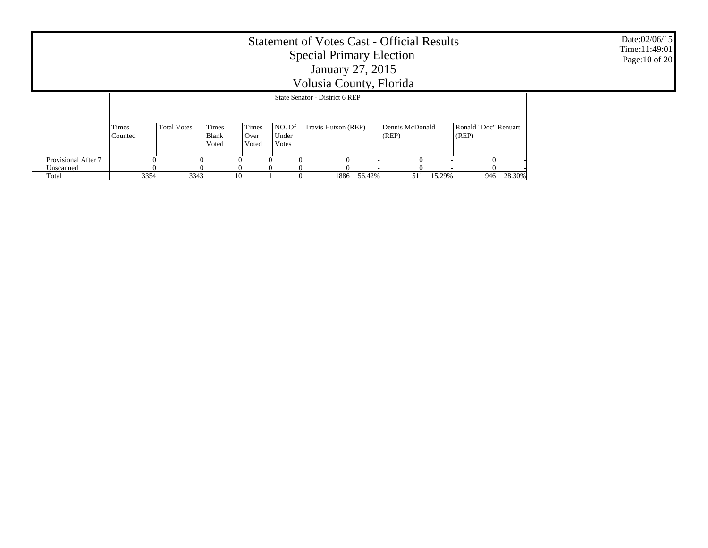|                     |                  |                               |          |          | <b>Statement of Votes Cast - Official Results</b><br><b>Special Primary Election</b><br>January 27, 2015<br>Volusia County, Florida |          |          | Date:02/06/15<br>Time: 11:49:01<br>Page: 10 of 20 |
|---------------------|------------------|-------------------------------|----------|----------|-------------------------------------------------------------------------------------------------------------------------------------|----------|----------|---------------------------------------------------|
|                     |                  |                               |          |          |                                                                                                                                     |          |          |                                                   |
|                     | Times<br>Counted | Ronald "Doc" Renuart<br>(REP) |          |          |                                                                                                                                     |          |          |                                                   |
| Provisional After 7 |                  |                               | $\Omega$ | $\Omega$ | $\Omega$                                                                                                                            | $\Omega$ | $\Omega$ |                                                   |
| Unscanned<br>Total  | 3354             | 3343                          |          | 10       | 28.30%<br>15.29%<br>946                                                                                                             |          |          |                                                   |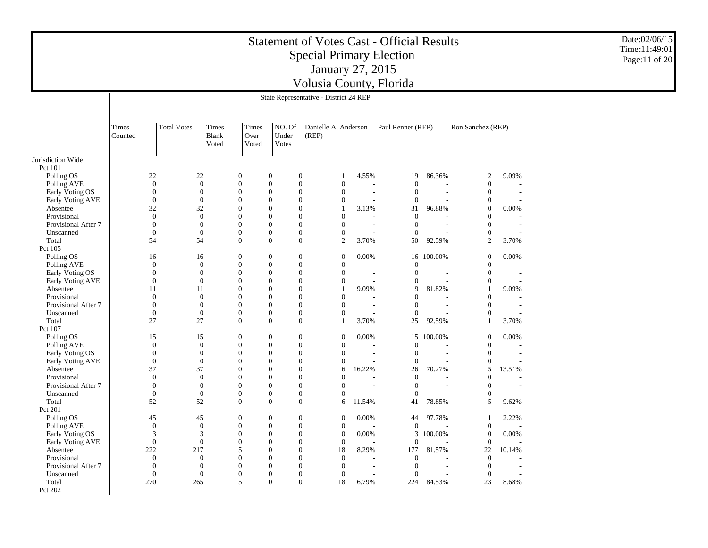|                                  |                                                                                                                                                                                                                                                                                               |                                |                                      |  |                                      |                          |                                  | <b>Special Primary Election</b><br>January 27, 2015<br>Volusia County, Florida |  |        | <b>Statement of Votes Cast - Official Results</b> |            |                              |        | Date:02/06/15<br>Time:11:49:01<br>Page:11 of 20 |
|----------------------------------|-----------------------------------------------------------------------------------------------------------------------------------------------------------------------------------------------------------------------------------------------------------------------------------------------|--------------------------------|--------------------------------------|--|--------------------------------------|--------------------------|----------------------------------|--------------------------------------------------------------------------------|--|--------|---------------------------------------------------|------------|------------------------------|--------|-------------------------------------------------|
|                                  |                                                                                                                                                                                                                                                                                               |                                |                                      |  |                                      |                          |                                  | State Representative - District 24 REP                                         |  |        |                                                   |            |                              |        |                                                 |
|                                  |                                                                                                                                                                                                                                                                                               |                                |                                      |  |                                      |                          |                                  |                                                                                |  |        |                                                   |            |                              |        |                                                 |
|                                  | <b>Total Votes</b><br>NO. Of<br>Paul Renner (REP)<br>Ron Sanchez (REP)<br>Times<br><b>Times</b><br>Times<br>Danielle A. Anderson<br>Under<br>(REP)<br>Counted<br>Blank<br>Over<br>Voted<br>Votes<br>Voted                                                                                     |                                |                                      |  |                                      |                          |                                  |                                                                                |  |        |                                                   |            |                              |        |                                                 |
| Jurisdiction Wide                |                                                                                                                                                                                                                                                                                               |                                |                                      |  |                                      |                          |                                  |                                                                                |  |        |                                                   |            |                              |        |                                                 |
| Pct 101<br>Polling OS            | 22<br>86.36%<br>22<br>$\boldsymbol{0}$<br>$\boldsymbol{0}$<br>$\boldsymbol{0}$<br>4.55%<br>19<br>$\overline{2}$<br>-1<br>$\boldsymbol{0}$<br>$\boldsymbol{0}$<br>$\boldsymbol{0}$<br>$\boldsymbol{0}$<br>$\boldsymbol{0}$<br>$\boldsymbol{0}$<br>$\mathbf{0}$<br>$\mathbf{0}$<br>$\mathbf{0}$ |                                |                                      |  |                                      |                          |                                  |                                                                                |  |        |                                                   |            |                              |        | 9.09%                                           |
| Polling AVE                      | $\boldsymbol{0}$<br>$\mathbf{0}$<br>$\mathbf{0}$<br>$\mathbf{0}$<br>$\mathbf{0}$<br>$\mathbf{0}$<br>$\mathbf{0}$<br>$\theta$<br>$\boldsymbol{0}$<br>$\boldsymbol{0}$<br>$\mathbf{0}$<br>$\overline{0}$<br>$\theta$<br>$\theta$<br>J.                                                          |                                |                                      |  |                                      |                          |                                  |                                                                                |  |        |                                                   |            |                              |        |                                                 |
| Early Voting OS                  |                                                                                                                                                                                                                                                                                               |                                |                                      |  |                                      |                          |                                  |                                                                                |  |        |                                                   |            |                              |        |                                                 |
| Early Voting AVE                 |                                                                                                                                                                                                                                                                                               |                                |                                      |  |                                      |                          |                                  |                                                                                |  |        |                                                   |            | $\boldsymbol{0}$             |        |                                                 |
| Absentee                         |                                                                                                                                                                                                                                                                                               | 32                             | 32                                   |  | $\overline{0}$                       | $\overline{0}$           | $\overline{0}$                   | $\overline{1}$                                                                 |  | 3.13%  | 31                                                | 96.88%     | $\theta$                     | 0.00%  |                                                 |
| Provisional                      |                                                                                                                                                                                                                                                                                               | $\mathbf{0}$<br>$\overline{0}$ | $\boldsymbol{0}$<br>$\boldsymbol{0}$ |  | $\boldsymbol{0}$<br>$\boldsymbol{0}$ | $\boldsymbol{0}$         | $\boldsymbol{0}$                 | $\mathbf{0}$                                                                   |  |        | $\Omega$<br>$\mathbf{0}$                          |            | $\boldsymbol{0}$             |        |                                                 |
| Provisional After 7<br>Unscanned |                                                                                                                                                                                                                                                                                               |                                |                                      |  |                                      | $\mathbf{0}$             | $\mathbf{0}$                     | $\mathbf{0}$                                                                   |  |        |                                                   |            | $\mathbf{0}$<br>$\mathbf{0}$ |        |                                                 |
| Total                            |                                                                                                                                                                                                                                                                                               |                                |                                      |  |                                      |                          |                                  |                                                                                |  |        |                                                   |            | $\overline{2}$               | 3.70%  |                                                 |
| Pct 105                          | $\boldsymbol{0}$<br>$\mathbf{0}$<br>$\mathbf{0}$<br>$\mathbf{0}$<br>$\mathbf{0}$<br>$\mathbf{0}$<br>$\mathbf{0}$<br>54<br>54<br>$\mathbf{0}$<br>$\mathbf{0}$<br>$\mathbf{0}$<br>$\overline{2}$<br>3.70%<br>50<br>92.59%                                                                       |                                |                                      |  |                                      |                          |                                  |                                                                                |  |        |                                                   |            |                              |        |                                                 |
| Polling OS                       |                                                                                                                                                                                                                                                                                               | 16                             | 16                                   |  | $\boldsymbol{0}$                     | $\boldsymbol{0}$         | $\boldsymbol{0}$                 | $\boldsymbol{0}$                                                               |  | 0.00%  |                                                   | 16 100.00% | $\boldsymbol{0}$             | 0.00%  |                                                 |
| Polling AVE                      |                                                                                                                                                                                                                                                                                               | $\overline{0}$                 | $\overline{0}$                       |  | $\boldsymbol{0}$                     | $\theta$                 | $\boldsymbol{0}$                 | $\mathbf{0}$                                                                   |  |        | $\theta$                                          |            | $\mathbf{0}$                 |        |                                                 |
| Early Voting OS                  |                                                                                                                                                                                                                                                                                               | $\mathbf{0}$                   | $\boldsymbol{0}$                     |  | $\mathbf{0}$                         | $\mathbf{0}$             | $\mathbf{0}$                     | $\mathbf{0}$                                                                   |  |        | $\mathbf{0}$                                      |            | $\mathbf{0}$                 |        |                                                 |
| Early Voting AVE                 |                                                                                                                                                                                                                                                                                               | $\overline{0}$                 | $\theta$                             |  | $\boldsymbol{0}$                     | $\overline{0}$           | $\overline{0}$                   | $\mathbf{0}$                                                                   |  |        | $\mathbf{0}$                                      |            | $\mathbf{0}$                 |        |                                                 |
| Absentee                         |                                                                                                                                                                                                                                                                                               | 11                             | 11                                   |  | $\boldsymbol{0}$                     | $\boldsymbol{0}$         | $\boldsymbol{0}$                 | $\overline{1}$                                                                 |  | 9.09%  | 9                                                 | 81.82%     | $\overline{1}$               | 9.09%  |                                                 |
| Provisional                      |                                                                                                                                                                                                                                                                                               | $\mathbf{0}$                   | $\boldsymbol{0}$                     |  | $\boldsymbol{0}$                     | $\mathbf{0}$             | $\mathbf{0}$                     | $\overline{0}$                                                                 |  |        | $\mathbf{0}$                                      |            | $\mathbf{0}$                 |        |                                                 |
| Provisional After 7              |                                                                                                                                                                                                                                                                                               | $\overline{0}$                 | $\theta$                             |  | $\boldsymbol{0}$                     | $\theta$                 | $\boldsymbol{0}$                 | $\boldsymbol{0}$                                                               |  |        | $\mathbf{0}$                                      |            | $\boldsymbol{0}$             |        |                                                 |
| Unscanned                        |                                                                                                                                                                                                                                                                                               | $\mathbf{0}$                   | $\boldsymbol{0}$                     |  | $\mathbf{0}$                         | $\mathbf{0}$             | $\mathbf{0}$                     | $\mathbf{0}$                                                                   |  |        | $\mathbf{0}$                                      |            | $\mathbf{0}$                 |        |                                                 |
| Total                            |                                                                                                                                                                                                                                                                                               | 27                             | 27                                   |  | $\mathbf{0}$                         | $\overline{0}$           | $\mathbf{0}$                     | $\mathbf{1}$                                                                   |  | 3.70%  | 25                                                | 92.59%     | $\mathbf{1}$                 | 3.70%  |                                                 |
| Pct 107                          |                                                                                                                                                                                                                                                                                               |                                |                                      |  |                                      |                          |                                  |                                                                                |  |        |                                                   |            |                              |        |                                                 |
| Polling OS                       |                                                                                                                                                                                                                                                                                               | 15                             | 15                                   |  | $\boldsymbol{0}$                     | $\mathbf{0}$             | $\boldsymbol{0}$                 | $\mathbf{0}$                                                                   |  | 0.00%  |                                                   | 15 100.00% | $\mathbf{0}$                 | 0.00%  |                                                 |
| Polling AVE                      |                                                                                                                                                                                                                                                                                               | $\mathbf{0}$                   | $\mathbf{0}$                         |  | $\boldsymbol{0}$                     | $\overline{0}$           | $\mathbf{0}$                     | $\mathbf{0}$                                                                   |  |        | $\theta$                                          |            | $\boldsymbol{0}$             |        |                                                 |
| Early Voting OS                  |                                                                                                                                                                                                                                                                                               | $\mathbf{0}$                   | $\boldsymbol{0}$                     |  | $\boldsymbol{0}$                     | $\mathbf{0}$             | $\boldsymbol{0}$                 | $\mathbf{0}$                                                                   |  |        | $\mathbf{0}$                                      |            | $\boldsymbol{0}$             |        |                                                 |
| Early Voting AVE                 |                                                                                                                                                                                                                                                                                               | $\boldsymbol{0}$               | $\boldsymbol{0}$                     |  | $\boldsymbol{0}$                     | $\boldsymbol{0}$         | $\boldsymbol{0}$                 | $\mathbf{0}$                                                                   |  |        | $\Omega$                                          |            | $\boldsymbol{0}$<br>5        |        |                                                 |
| Absentee<br>Provisional          |                                                                                                                                                                                                                                                                                               | 37<br>$\overline{0}$           | 37<br>$\overline{0}$                 |  | $\mathbf{0}$<br>$\boldsymbol{0}$     | $\mathbf{0}$<br>$\theta$ | $\mathbf{0}$<br>$\boldsymbol{0}$ | 6<br>$\overline{0}$                                                            |  | 16.22% | 26<br>$\theta$                                    | 70.27%     | $\mathbf{0}$                 | 13.51% |                                                 |
| Provisional After 7              |                                                                                                                                                                                                                                                                                               | $\overline{0}$                 | $\mathbf{0}$                         |  | $\boldsymbol{0}$                     | $\overline{0}$           | $\mathbf{0}$                     | $\overline{0}$                                                                 |  |        | $\mathbf{0}$                                      |            | $\mathbf{0}$                 |        |                                                 |
| Unscanned                        |                                                                                                                                                                                                                                                                                               | $\overline{0}$                 | $\boldsymbol{0}$                     |  | $\boldsymbol{0}$                     | $\boldsymbol{0}$         | $\boldsymbol{0}$                 | $\boldsymbol{0}$                                                               |  |        | $\boldsymbol{0}$                                  |            | $\boldsymbol{0}$             |        |                                                 |
| Total                            |                                                                                                                                                                                                                                                                                               | 52                             | 52                                   |  | $\mathbf{0}$                         | $\mathbf{0}$             | $\mathbf{0}$                     | 6                                                                              |  | 11.54% | 41                                                | 78.85%     | 5                            | 9.62%  |                                                 |
| Pct 201                          |                                                                                                                                                                                                                                                                                               |                                |                                      |  |                                      |                          |                                  |                                                                                |  |        |                                                   |            |                              |        |                                                 |
| Polling OS                       |                                                                                                                                                                                                                                                                                               | 45                             | 45                                   |  | $\mathbf{0}$                         | $\mathbf{0}$             | $\mathbf{0}$                     | $\mathbf{0}$                                                                   |  | 0.00%  | 44                                                | 97.78%     | -1                           | 2.22%  |                                                 |
| Polling AVE                      |                                                                                                                                                                                                                                                                                               | $\overline{0}$                 | $\theta$                             |  | $\boldsymbol{0}$                     | $\overline{0}$           | $\boldsymbol{0}$                 | $\mathbf{0}$                                                                   |  |        | $\mathbf{0}$                                      |            | $\theta$                     |        |                                                 |
| Early Voting OS                  |                                                                                                                                                                                                                                                                                               | 3                              | 3                                    |  | $\boldsymbol{0}$                     | $\boldsymbol{0}$         | $\boldsymbol{0}$                 | $\boldsymbol{0}$                                                               |  | 0.00%  |                                                   | 3 100.00%  | $\boldsymbol{0}$             | 0.00%  |                                                 |
| Early Voting AVE                 |                                                                                                                                                                                                                                                                                               | $\mathbf{0}$                   | $\boldsymbol{0}$                     |  | $\boldsymbol{0}$                     | $\boldsymbol{0}$         | $\boldsymbol{0}$                 | $\boldsymbol{0}$                                                               |  |        | $\mathbf{0}$                                      |            | $\boldsymbol{0}$             |        |                                                 |
| Absentee                         |                                                                                                                                                                                                                                                                                               | 222                            | 217                                  |  | 5                                    | $\theta$                 | $\mathbf{0}$                     | 18                                                                             |  | 8.29%  | 177                                               | 81.57%     | 22                           | 10.14% |                                                 |
| Provisional                      |                                                                                                                                                                                                                                                                                               | $\overline{0}$                 | $\overline{0}$                       |  | $\boldsymbol{0}$                     | $\overline{0}$           | $\boldsymbol{0}$                 | $\boldsymbol{0}$                                                               |  |        | $\theta$                                          |            | $\mathbf{0}$                 |        |                                                 |
| Provisional After 7              |                                                                                                                                                                                                                                                                                               | $\overline{0}$                 | $\theta$                             |  | $\boldsymbol{0}$                     | $\overline{0}$           | $\mathbf{0}$                     | $\overline{0}$                                                                 |  |        | $\mathbf{0}$                                      |            | $\mathbf{0}$                 |        |                                                 |
| Unscanned                        |                                                                                                                                                                                                                                                                                               | $\overline{0}$                 | $\theta$                             |  | $\boldsymbol{0}$                     | $\boldsymbol{0}$         | $\boldsymbol{0}$                 | $\mathbf{0}$                                                                   |  |        | $\boldsymbol{0}$                                  |            | $\mathbf{0}$                 |        |                                                 |
| Total                            |                                                                                                                                                                                                                                                                                               | 270                            | 265                                  |  | 5                                    | $\overline{0}$           | $\mathbf{0}$                     | 18                                                                             |  | 6.79%  | 224                                               | 84.53%     | 23                           | 8.68%  |                                                 |
| Pct 202                          |                                                                                                                                                                                                                                                                                               |                                |                                      |  |                                      |                          |                                  |                                                                                |  |        |                                                   |            |                              |        |                                                 |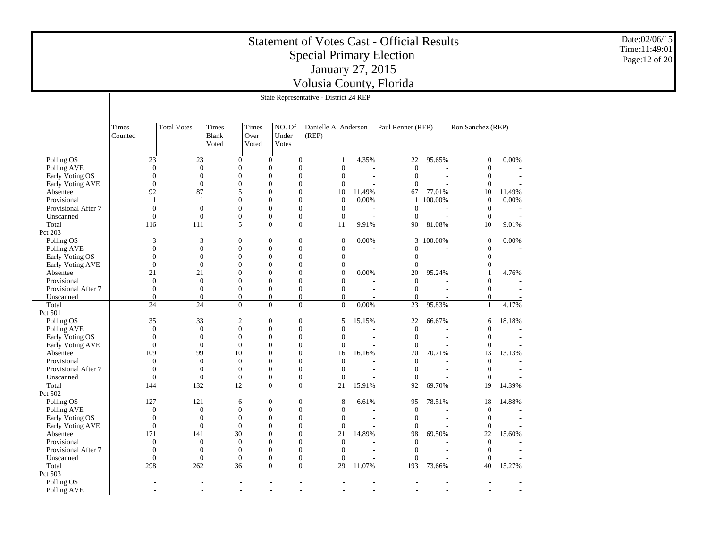|                                |                  |                    |                         | <b>Statement of Votes Cast - Official Results</b> |                                                                      |                                        | Date:02/06/15<br>Time:11:49:01 |                        |           |                                |        |                |  |
|--------------------------------|------------------|--------------------|-------------------------|---------------------------------------------------|----------------------------------------------------------------------|----------------------------------------|--------------------------------|------------------------|-----------|--------------------------------|--------|----------------|--|
|                                |                  |                    |                         |                                                   |                                                                      | <b>Special Primary Election</b>        |                                |                        |           |                                |        | Page: 12 of 20 |  |
|                                |                  |                    |                         |                                                   |                                                                      | January 27, 2015                       |                                |                        |           |                                |        |                |  |
|                                |                  |                    |                         |                                                   |                                                                      | Volusia County, Florida                |                                |                        |           |                                |        |                |  |
|                                |                  |                    |                         |                                                   |                                                                      | State Representative - District 24 REP |                                |                        |           |                                |        |                |  |
|                                |                  |                    |                         |                                                   |                                                                      |                                        |                                |                        |           |                                |        |                |  |
|                                |                  |                    |                         |                                                   |                                                                      |                                        |                                |                        |           |                                |        |                |  |
|                                | Times<br>Counted | <b>Total Votes</b> | Times<br>Blank<br>Voted | Times<br>Over<br>Voted                            | NO. Of<br>Under<br>Votes                                             | Danielle A. Anderson<br>(REP)          |                                | Paul Renner (REP)      |           | Ron Sanchez (REP)              |        |                |  |
| Polling OS                     |                  | 23                 | 23                      | $\boldsymbol{0}$                                  | $\mathbf{0}$                                                         | $\boldsymbol{0}$<br>$\overline{1}$     | 4.35%                          | 22                     | 95.65%    | $\overline{0}$                 | 0.00%  |                |  |
| Polling AVE                    |                  | $\Omega$           | $\theta$                | $\overline{0}$                                    | $\mathbf{0}$<br>$\Omega$                                             | $\boldsymbol{0}$                       |                                | $\mathbf{0}$           |           | $\boldsymbol{0}$               |        |                |  |
| Early Voting OS                |                  | $\Omega$           | $\Omega$                | 0                                                 | $\mathbf{0}$<br>$\Omega$                                             | $\mathbf{0}$                           |                                | $\mathbf{0}$           |           | $\theta$                       |        |                |  |
| Early Voting AVE               |                  | $\Omega$           | $\mathbf{0}$            | 0                                                 | $\mathbf{0}$<br>$\mathbf{0}$                                         | $\boldsymbol{0}$                       |                                | $\mathbf{0}$           |           | $\boldsymbol{0}$               |        |                |  |
| Absentee                       |                  | 92                 | 87                      | 5                                                 | $\mathbf{0}$<br>$\Omega$                                             | 10                                     | 11.49%                         | 67                     | 77.01%    | 10                             | 11.49% |                |  |
| Provisional                    |                  | $\mathbf{1}$       |                         | $\mathbf{0}$                                      | $\boldsymbol{0}$<br>$\mathbf{0}$                                     | $\boldsymbol{0}$                       | 0.00%                          | 1                      | 100.00%   | $\mathbf{0}$                   | 0.00%  |                |  |
| Provisional After 7            |                  | $\overline{0}$     | $\mathbf{0}$            | $\overline{0}$                                    | $\boldsymbol{0}$<br>$\boldsymbol{0}$                                 | $\boldsymbol{0}$                       |                                | $\mathbf{0}$           |           | $\mathbf{0}$                   |        |                |  |
| Unscanned                      |                  | $\Omega$           | $\mathbf{0}$            | $\mathbf{0}$                                      | $\overline{0}$<br>$\boldsymbol{0}$                                   | $\mathbf{0}$                           |                                | $\Omega$               |           | $\theta$                       |        |                |  |
| Total                          |                  | 116<br>111         |                         | 5                                                 | $\overline{0}$                                                       | $\overline{0}$<br>11                   | 9.91%                          | 90                     | 81.08%    | 10                             | 9.01%  |                |  |
| Pct 203                        |                  |                    |                         |                                                   |                                                                      |                                        |                                |                        |           |                                |        |                |  |
| Polling OS                     |                  | 3                  | 3                       | $\mathbf{0}$                                      | $\boldsymbol{0}$<br>$\boldsymbol{0}$                                 | $\boldsymbol{0}$                       | 0.00%                          |                        | 3 100.00% | $\boldsymbol{0}$               | 0.00%  |                |  |
| Polling AVE                    |                  | $\Omega$           | $\boldsymbol{0}$        | $\overline{0}$                                    | $\boldsymbol{0}$<br>$\boldsymbol{0}$                                 | $\Omega$                               |                                | $\boldsymbol{0}$       |           | $\boldsymbol{0}$               |        |                |  |
| Early Voting OS                |                  | $\Omega$           | $\mathbf{0}$            | $\theta$                                          | $\mathbf{0}$<br>$\Omega$                                             | $\theta$                               |                                | $\mathbf{0}$           |           | $\mathbf{0}$                   |        |                |  |
| Early Voting AVE               |                  | $\overline{0}$     | $\boldsymbol{0}$        | $\theta$                                          | $\mathbf{0}$<br>$\Omega$                                             | $\boldsymbol{0}$                       |                                | $\mathbf{0}$           |           | $\theta$                       |        |                |  |
| Absentee                       |                  | 21                 | 21                      | $\theta$                                          | $\mathbf{0}$<br>$\Omega$                                             | $\mathbf{0}$                           | 0.00%                          | 20                     | 95.24%    |                                | 4.76%  |                |  |
| Provisional                    |                  | $\overline{0}$     | $\mathbf{0}$            | $\mathbf{0}$                                      | $\boldsymbol{0}$<br>$\overline{0}$                                   | $\boldsymbol{0}$                       |                                | $\mathbf{0}$           |           | $\theta$                       |        |                |  |
| Provisional After 7            |                  | $\mathbf{0}$       | $\boldsymbol{0}$        | $\mathbf{0}$                                      | $\boldsymbol{0}$<br>$\boldsymbol{0}$                                 | $\boldsymbol{0}$                       |                                | $\boldsymbol{0}$       |           | $\mathbf{0}$                   |        |                |  |
| Unscanned                      |                  | $\overline{0}$     | $\mathbf{0}$            | $\mathbf{0}$<br>$\overline{0}$                    | $\overline{0}$<br>$\boldsymbol{0}$                                   | $\mathbf{0}$                           |                                | $\Omega$               |           | $\mathbf{0}$<br>$\overline{1}$ |        |                |  |
| Total                          |                  | 24                 | 24                      |                                                   | $\overline{0}$<br>$\overline{0}$                                     | $\boldsymbol{0}$                       | 0.00%                          | 23                     | 95.83%    |                                | 4.17%  |                |  |
| Pct 501                        |                  | 35                 |                         |                                                   |                                                                      |                                        | 15.15%                         |                        | 66.67%    |                                | 18.18% |                |  |
| Polling OS                     |                  | $\overline{0}$     | 33<br>$\mathbf{0}$      | 2<br>$\mathbf{0}$                                 | $\boldsymbol{0}$<br>$\boldsymbol{0}$<br>$\mathbf{0}$<br>$\mathbf{0}$ | 5<br>$\Omega$                          |                                | 22<br>$\boldsymbol{0}$ |           | 6<br>$\theta$                  |        |                |  |
| Polling AVE<br>Early Voting OS |                  | $\overline{0}$     | $\theta$                | $\overline{0}$                                    | $\mathbf{0}$<br>$\theta$                                             | $\mathbf{0}$                           |                                | $\mathbf{0}$           |           | $\mathbf{0}$                   |        |                |  |
| Early Voting AVE               |                  | $\overline{0}$     | $\mathbf{0}$            | $\mathbf{0}$                                      | $\mathbf{0}$<br>$\boldsymbol{0}$                                     | $\theta$                               |                                | $\mathbf{0}$           |           | $\boldsymbol{0}$               |        |                |  |
| Absentee                       |                  | 109                | 99<br>10                |                                                   | $\mathbf{0}$<br>$\Omega$                                             | 16                                     | 16.16%                         | 70                     | 70.71%    | 13                             | 13.13% |                |  |
| Provisional                    |                  | $\overline{0}$     | $\theta$                | $\mathbf{0}$                                      | $\boldsymbol{0}$<br>$\overline{0}$                                   | $\theta$                               |                                | $\boldsymbol{0}$       |           | $\theta$                       |        |                |  |
| Provisional After 7            |                  | $\mathbf{0}$       | $\theta$                | $\boldsymbol{0}$                                  | $\boldsymbol{0}$<br>$\boldsymbol{0}$                                 | $\boldsymbol{0}$                       |                                | $\mathbf{0}$           |           | $\mathbf{0}$                   |        |                |  |
| Unscanned                      |                  | $\Omega$           | $\mathbf{0}$            | $\overline{0}$                                    | $\overline{0}$<br>$\mathbf{0}$                                       | $\mathbf{0}$                           |                                | $\Omega$               |           | $\mathbf{0}$                   |        |                |  |
| Total                          |                  | 144<br>132         | 12                      |                                                   | $\overline{0}$                                                       | $\boldsymbol{0}$<br>21                 | 15.91%                         | 92                     | 69.70%    | 19                             | 14.39% |                |  |
| Pct 502                        |                  |                    |                         |                                                   |                                                                      |                                        |                                |                        |           |                                |        |                |  |
| Polling OS                     |                  | 127<br>121         |                         | 6                                                 | $\boldsymbol{0}$<br>$\mathbf{0}$                                     | 8                                      | 6.61%                          | 95                     | 78.51%    | 18                             | 14.88% |                |  |
| Polling AVE                    |                  | $\overline{0}$     | $\boldsymbol{0}$        | $\mathbf{0}$                                      | $\boldsymbol{0}$<br>$\boldsymbol{0}$                                 | $\theta$                               |                                | $\mathbf{0}$           |           | $\mathbf{0}$                   |        |                |  |
| Early Voting OS                |                  | $\overline{0}$     | $\theta$                | $\mathbf{0}$                                      | $\boldsymbol{0}$<br>$\boldsymbol{0}$                                 | $\boldsymbol{0}$                       |                                | $\boldsymbol{0}$       |           | $\boldsymbol{0}$               |        |                |  |
| Early Voting AVE               |                  | $\overline{0}$     | $\mathbf{0}$            | $\overline{0}$                                    | $\mathbf{0}$<br>$\mathbf{0}$                                         | $\mathbf{0}$                           |                                | $\mathbf{0}$           |           | $\overline{0}$                 |        |                |  |
| Absentee                       |                  | 171<br>141         | 30                      |                                                   | 0<br>0                                                               | 21                                     | 14.89%                         | 98                     | 69.50%    | 22                             | 15.60% |                |  |
| Provisional                    |                  | $\mathbf{0}$       | $\theta$                | $\mathbf{0}$                                      | $\mathbf{0}$<br>$\Omega$                                             | $\mathbf{0}$                           |                                | $\mathbf{0}$           |           | $\mathbf{0}$                   |        |                |  |
| Provisional After 7            |                  | $\mathbf{0}$       | $\Omega$                | $\mathbf{0}$                                      | $\mathbf{0}$<br>$\Omega$                                             | $\mathbf{0}$                           |                                | $\boldsymbol{0}$       |           | $\mathbf{0}$                   |        |                |  |
| Unscanned                      |                  | $\Omega$           | $\Omega$                | $\overline{0}$                                    | $\Omega$<br>$\Omega$                                                 | $\Omega$                               |                                | $\Omega$               |           | $\overline{0}$                 |        |                |  |
| Total<br>Pct 503               |                  | 298<br>262         | 36                      |                                                   | $\mathbf{0}$                                                         | $\boldsymbol{0}$<br>29                 | 11.07%                         | 193                    | 73.66%    | 40                             | 15.27% |                |  |
| Polling OS                     |                  |                    |                         |                                                   |                                                                      |                                        |                                |                        |           |                                |        |                |  |
| Polling AVE                    |                  |                    |                         |                                                   |                                                                      |                                        |                                |                        |           |                                |        |                |  |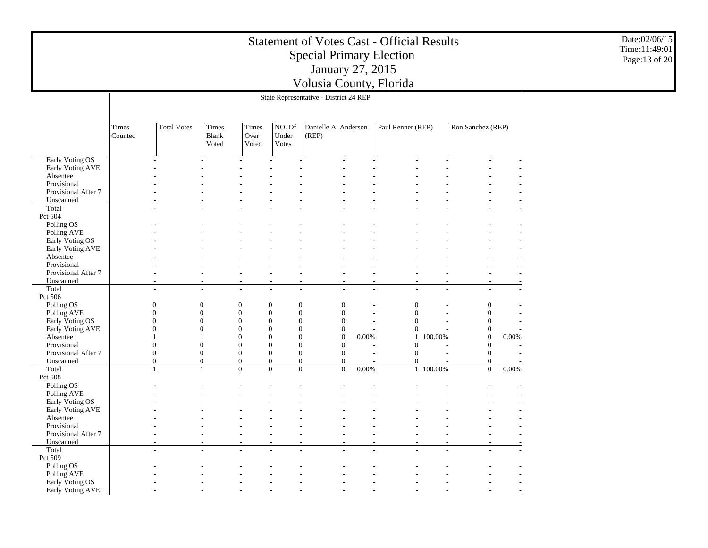|                                     |                  |                    |                         |                            |                          | <b>Statement of Votes Cast - Official Results</b><br><b>Special Primary Election</b><br>January 27, 2015<br>Volusia County, Florida |       |                   |                       |                                      |       | Date:02/06/15<br>Time:11:49:01<br>Page:13 of 20 |
|-------------------------------------|------------------|--------------------|-------------------------|----------------------------|--------------------------|-------------------------------------------------------------------------------------------------------------------------------------|-------|-------------------|-----------------------|--------------------------------------|-------|-------------------------------------------------|
|                                     |                  |                    |                         |                            |                          | State Representative - District 24 REP                                                                                              |       |                   |                       |                                      |       |                                                 |
|                                     |                  |                    |                         |                            |                          |                                                                                                                                     |       |                   |                       |                                      |       |                                                 |
|                                     | Times<br>Counted | <b>Total Votes</b> | Times<br>Blank<br>Voted | Times<br>Over<br>Voted     | NO. Of<br>Under<br>Votes | Danielle A. Anderson<br>(REP)                                                                                                       |       | Paul Renner (REP) |                       | Ron Sanchez (REP)                    |       |                                                 |
| Early Voting OS                     |                  |                    |                         |                            |                          |                                                                                                                                     |       |                   |                       |                                      |       |                                                 |
| Early Voting AVE                    |                  |                    |                         |                            |                          |                                                                                                                                     |       |                   |                       |                                      |       |                                                 |
| Absentee                            |                  |                    |                         |                            |                          |                                                                                                                                     |       |                   |                       |                                      |       |                                                 |
| Provisional                         |                  |                    |                         |                            |                          |                                                                                                                                     |       |                   |                       |                                      |       |                                                 |
| Provisional After 7                 |                  |                    |                         |                            |                          |                                                                                                                                     |       |                   |                       |                                      |       |                                                 |
| Unscanned<br>Total                  |                  |                    |                         |                            |                          |                                                                                                                                     |       |                   |                       |                                      |       |                                                 |
| Pct 504                             |                  |                    |                         |                            |                          |                                                                                                                                     |       |                   |                       |                                      |       |                                                 |
| Polling OS                          |                  |                    |                         |                            |                          |                                                                                                                                     |       |                   |                       |                                      |       |                                                 |
| Polling AVE                         |                  |                    |                         |                            |                          |                                                                                                                                     |       |                   |                       |                                      |       |                                                 |
| Early Voting OS                     |                  |                    |                         |                            |                          |                                                                                                                                     |       |                   |                       |                                      |       |                                                 |
| Early Voting AVE                    |                  |                    |                         |                            |                          |                                                                                                                                     |       |                   |                       |                                      |       |                                                 |
| Absentee                            |                  |                    |                         |                            |                          |                                                                                                                                     |       |                   |                       |                                      |       |                                                 |
| Provisional<br>Provisional After 7  |                  |                    |                         | ÷                          | $\sim$                   |                                                                                                                                     |       |                   |                       |                                      |       |                                                 |
| Unscanned                           |                  |                    |                         |                            |                          |                                                                                                                                     |       |                   |                       |                                      |       |                                                 |
| Total                               |                  |                    |                         | $\overline{a}$             |                          | $\overline{a}$                                                                                                                      |       |                   |                       |                                      |       |                                                 |
| Pct 506                             |                  |                    |                         |                            |                          |                                                                                                                                     |       |                   |                       |                                      |       |                                                 |
| Polling OS                          |                  | $\mathbf{0}$       | $\overline{0}$          | $\mathbf{0}$               | $\theta$                 | $\mathbf{0}$<br>$\mathbf{0}$                                                                                                        |       |                   | $\mathbf{0}$          | $\boldsymbol{0}$                     |       |                                                 |
| Polling AVE                         |                  | $\Omega$           | $\overline{0}$          | $\mathbf{0}$               | $\boldsymbol{0}$         | $\mathbf{0}$<br>$\mathbf{0}$                                                                                                        |       |                   | $\mathbf{0}$          | $\mathbf{0}$                         |       |                                                 |
| Early Voting OS                     |                  | $\Omega$           | $\theta$                | $\theta$                   | $\theta$                 | $\overline{0}$<br>$\overline{0}$                                                                                                    |       |                   | $\overline{0}$        | $\boldsymbol{0}$                     |       |                                                 |
| Early Voting AVE                    |                  | $\Omega$           | $\Omega$                | $\boldsymbol{0}$           | $\mathbf{0}$             | $\overline{0}$<br>$\boldsymbol{0}$                                                                                                  |       |                   | $\boldsymbol{0}$      | $\boldsymbol{0}$                     |       |                                                 |
| Absentee<br>Provisional             |                  | $\Omega$           | $\Omega$                | $\overline{0}$<br>$\theta$ | $\theta$<br>$\theta$     | $\theta$<br>$\boldsymbol{0}$<br>$\mathbf{0}$<br>$\Omega$                                                                            | 0.00% |                   | 1 100.00%<br>$\theta$ | $\boldsymbol{0}$<br>$\boldsymbol{0}$ | 0.00% |                                                 |
| Provisional After 7                 |                  | $\theta$           | $\boldsymbol{0}$        | $\boldsymbol{0}$           | $\mathbf{0}$             | $\boldsymbol{0}$<br>$\boldsymbol{0}$                                                                                                |       |                   | $\theta$              | $\boldsymbol{0}$                     |       |                                                 |
| Unscanned                           |                  | $\overline{0}$     | $\Omega$                | $\overline{0}$             | $\Omega$                 | $\boldsymbol{0}$<br>$\overline{0}$                                                                                                  |       |                   | $\overline{0}$        | $\boldsymbol{0}$                     |       |                                                 |
| Total                               |                  | $\mathbf{1}$       | $\mathbf{1}$            | $\overline{0}$             | $\overline{0}$           | $\overline{0}$<br>$\overline{0}$                                                                                                    | 0.00% |                   | 1 100.00%             | $\overline{0}$                       | 0.00% |                                                 |
| Pct 508                             |                  |                    |                         |                            |                          |                                                                                                                                     |       |                   |                       |                                      |       |                                                 |
| Polling OS                          |                  |                    |                         |                            |                          |                                                                                                                                     |       |                   |                       |                                      |       |                                                 |
| Polling AVE                         |                  |                    |                         |                            |                          |                                                                                                                                     |       |                   |                       |                                      |       |                                                 |
| Early Voting OS                     |                  |                    |                         |                            |                          |                                                                                                                                     |       |                   |                       |                                      |       |                                                 |
| Early Voting AVE<br>Absentee        |                  |                    |                         |                            |                          |                                                                                                                                     |       |                   |                       |                                      |       |                                                 |
| Provisional                         |                  |                    |                         |                            |                          |                                                                                                                                     |       |                   |                       |                                      |       |                                                 |
| Provisional After 7                 |                  |                    |                         |                            |                          |                                                                                                                                     |       |                   |                       |                                      |       |                                                 |
| Unscanned                           |                  |                    |                         |                            |                          |                                                                                                                                     |       |                   |                       |                                      |       |                                                 |
| Total                               |                  |                    |                         | L,                         |                          |                                                                                                                                     |       |                   |                       |                                      |       |                                                 |
| Pct 509                             |                  |                    |                         |                            |                          |                                                                                                                                     |       |                   |                       |                                      |       |                                                 |
| Polling OS                          |                  |                    |                         |                            |                          |                                                                                                                                     |       |                   |                       |                                      |       |                                                 |
| Polling AVE                         |                  |                    |                         |                            |                          |                                                                                                                                     |       |                   |                       |                                      |       |                                                 |
| Early Voting OS<br>Early Voting AVE |                  |                    |                         |                            |                          |                                                                                                                                     |       |                   |                       |                                      |       |                                                 |
|                                     |                  |                    |                         |                            |                          |                                                                                                                                     |       |                   |                       |                                      |       |                                                 |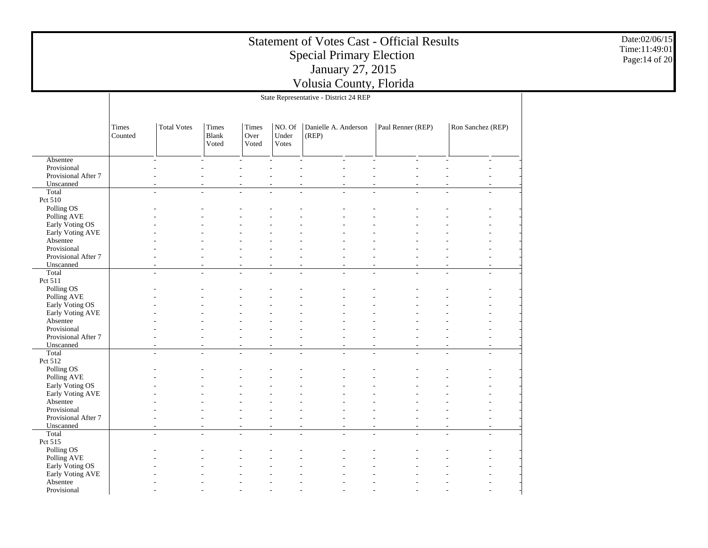|                                    |                  | Date:02/06/15<br>Time:11:49:01<br>Page: 14 of 20 |                                |                        |                          |                                        |                   |                   |  |
|------------------------------------|------------------|--------------------------------------------------|--------------------------------|------------------------|--------------------------|----------------------------------------|-------------------|-------------------|--|
|                                    |                  |                                                  |                                |                        |                          | State Representative - District 24 REP |                   |                   |  |
|                                    |                  |                                                  |                                |                        |                          |                                        |                   |                   |  |
|                                    | Times<br>Counted | <b>Total Votes</b>                               | Times<br><b>Blank</b><br>Voted | Times<br>Over<br>Voted | NO. Of<br>Under<br>Votes | Danielle A. Anderson<br>(REP)          | Paul Renner (REP) | Ron Sanchez (REP) |  |
| Absentee                           |                  | L.                                               |                                |                        |                          |                                        |                   |                   |  |
| Provisional<br>Provisional After 7 |                  |                                                  |                                |                        |                          |                                        |                   |                   |  |
| Unscanned                          |                  |                                                  |                                |                        |                          |                                        |                   |                   |  |
| Total<br>Pct 510                   |                  | L.                                               | ÷                              | L.                     |                          | $\overline{a}$                         |                   | $\sim$            |  |
| Polling OS                         |                  |                                                  |                                |                        |                          |                                        |                   |                   |  |
| Polling AVE                        |                  |                                                  |                                |                        |                          |                                        |                   |                   |  |
| Early Voting OS                    |                  |                                                  |                                |                        |                          |                                        |                   |                   |  |
| Early Voting AVE                   |                  |                                                  |                                |                        |                          |                                        |                   |                   |  |
| Absentee<br>Provisional            |                  |                                                  |                                |                        |                          |                                        |                   |                   |  |
| Provisional After 7                |                  |                                                  |                                |                        |                          |                                        |                   |                   |  |
| Unscanned                          |                  |                                                  |                                |                        |                          |                                        |                   |                   |  |
| Total                              |                  | ÷                                                |                                | L,                     |                          |                                        |                   |                   |  |
| Pct 511<br>Polling OS              |                  |                                                  |                                |                        |                          |                                        |                   |                   |  |
| Polling AVE                        |                  |                                                  |                                |                        |                          |                                        |                   |                   |  |
| Early Voting OS                    |                  |                                                  |                                |                        |                          |                                        |                   |                   |  |
| Early Voting AVE                   |                  |                                                  |                                |                        |                          |                                        |                   |                   |  |
| Absentee                           |                  |                                                  |                                |                        |                          |                                        |                   |                   |  |
| Provisional<br>Provisional After 7 |                  |                                                  |                                |                        |                          |                                        |                   |                   |  |
| Unscanned                          |                  |                                                  |                                |                        |                          |                                        |                   |                   |  |
| Total                              |                  | L.                                               |                                | L.                     |                          | $\sim$<br>$\overline{a}$               |                   | $\sim$            |  |
| Pct 512                            |                  |                                                  |                                |                        |                          |                                        |                   |                   |  |
| Polling OS                         |                  |                                                  |                                |                        |                          |                                        |                   |                   |  |
| Polling AVE<br>Early Voting OS     |                  |                                                  |                                |                        |                          |                                        |                   |                   |  |
| Early Voting AVE                   |                  |                                                  |                                |                        |                          |                                        |                   |                   |  |
| Absentee                           |                  |                                                  |                                |                        |                          |                                        |                   |                   |  |
| Provisional                        |                  |                                                  |                                |                        |                          |                                        |                   |                   |  |
| Provisional After 7                |                  |                                                  |                                |                        |                          |                                        |                   |                   |  |
| Unscanned<br>Total                 |                  | $\overline{a}$                                   |                                | ÷                      |                          | $\overline{a}$                         |                   |                   |  |
| Pct 515                            |                  |                                                  |                                |                        |                          |                                        |                   |                   |  |
| Polling OS                         |                  |                                                  |                                |                        |                          |                                        |                   |                   |  |
| Polling AVE                        |                  |                                                  |                                |                        |                          |                                        |                   |                   |  |
| Early Voting OS                    |                  |                                                  |                                |                        |                          |                                        |                   |                   |  |
| Early Voting AVE<br>Absentee       |                  |                                                  |                                |                        |                          |                                        |                   |                   |  |
| Provisional                        |                  |                                                  |                                |                        |                          |                                        |                   |                   |  |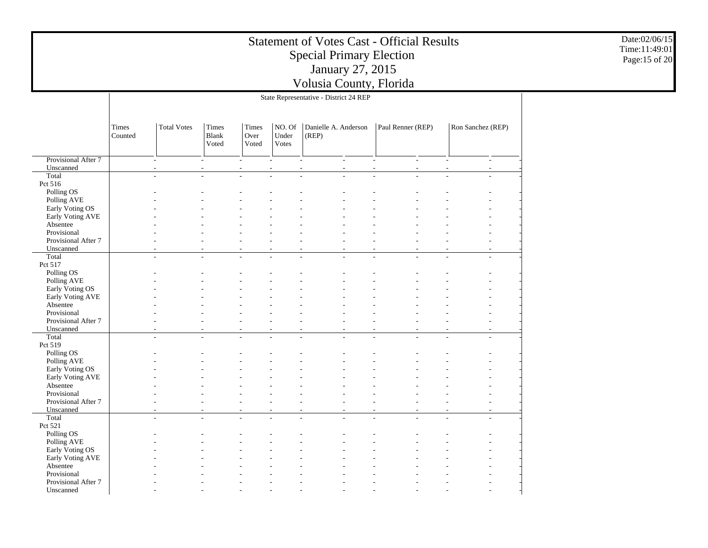|                                    |                  | Date:02/06/15<br>Time:11:49:01<br>Page:15 of 20 |                         |                        |                          |                                        |                   |                   |  |
|------------------------------------|------------------|-------------------------------------------------|-------------------------|------------------------|--------------------------|----------------------------------------|-------------------|-------------------|--|
|                                    |                  |                                                 |                         |                        |                          | State Representative - District 24 REP |                   |                   |  |
|                                    | Times<br>Counted | <b>Total Votes</b>                              | Times<br>Blank<br>Voted | Times<br>Over<br>Voted | NO. Of<br>Under<br>Votes | Danielle A. Anderson<br>(REP)          | Paul Renner (REP) | Ron Sanchez (REP) |  |
| Provisional After 7                |                  | $\overline{\phantom{a}}$                        |                         |                        |                          | $\sim$                                 | $\sim$            | $\sim$<br>$\sim$  |  |
| Unscanned                          |                  |                                                 |                         |                        |                          |                                        |                   |                   |  |
| Total<br>Pct 516                   |                  |                                                 |                         |                        |                          |                                        |                   |                   |  |
| Polling OS                         |                  |                                                 |                         |                        |                          |                                        |                   |                   |  |
| Polling AVE                        |                  |                                                 |                         |                        |                          |                                        |                   |                   |  |
| Early Voting OS                    |                  |                                                 |                         |                        |                          |                                        |                   |                   |  |
| Early Voting AVE                   |                  |                                                 |                         |                        |                          |                                        |                   |                   |  |
| Absentee                           |                  |                                                 |                         |                        |                          |                                        |                   |                   |  |
| Provisional                        |                  |                                                 |                         |                        |                          |                                        |                   |                   |  |
| Provisional After 7                |                  |                                                 |                         |                        |                          |                                        |                   |                   |  |
| Unscanned<br>Total                 |                  |                                                 |                         |                        |                          |                                        |                   |                   |  |
| Pct 517                            |                  |                                                 |                         |                        |                          |                                        |                   |                   |  |
| Polling OS                         |                  |                                                 |                         |                        |                          |                                        |                   |                   |  |
| Polling AVE                        |                  |                                                 |                         |                        |                          |                                        |                   |                   |  |
| Early Voting OS                    |                  |                                                 |                         |                        |                          |                                        |                   |                   |  |
| Early Voting AVE                   |                  |                                                 |                         |                        |                          |                                        |                   |                   |  |
| Absentee                           |                  |                                                 |                         |                        |                          |                                        |                   |                   |  |
| Provisional                        |                  |                                                 |                         |                        |                          |                                        |                   |                   |  |
| Provisional After 7<br>Unscanned   |                  |                                                 |                         |                        |                          |                                        |                   |                   |  |
| Total                              |                  |                                                 |                         |                        |                          |                                        |                   |                   |  |
| Pct 519                            |                  |                                                 |                         |                        |                          |                                        |                   |                   |  |
| Polling OS                         |                  |                                                 |                         |                        |                          |                                        |                   |                   |  |
| Polling AVE                        |                  |                                                 |                         |                        |                          |                                        |                   |                   |  |
| Early Voting OS                    |                  |                                                 |                         |                        |                          |                                        |                   |                   |  |
| Early Voting AVE                   |                  |                                                 |                         |                        |                          |                                        |                   |                   |  |
| Absentee                           |                  |                                                 |                         |                        |                          |                                        |                   |                   |  |
| Provisional<br>Provisional After 7 |                  |                                                 |                         |                        |                          |                                        |                   |                   |  |
| Unscanned                          |                  |                                                 |                         |                        |                          |                                        |                   |                   |  |
| Total                              |                  |                                                 |                         |                        |                          |                                        |                   |                   |  |
| Pct 521                            |                  |                                                 |                         |                        |                          |                                        |                   |                   |  |
| Polling OS                         |                  |                                                 |                         |                        |                          |                                        |                   |                   |  |
| Polling AVE                        |                  |                                                 |                         |                        |                          |                                        |                   |                   |  |
| Early Voting OS                    |                  |                                                 |                         |                        |                          |                                        |                   |                   |  |
| Early Voting AVE                   |                  |                                                 |                         |                        |                          |                                        |                   |                   |  |
| Absentee<br>Provisional            |                  |                                                 |                         |                        |                          |                                        |                   |                   |  |
| Provisional After 7                |                  |                                                 |                         |                        |                          |                                        |                   |                   |  |
| Unscanned                          |                  |                                                 |                         |                        |                          |                                        |                   |                   |  |
|                                    |                  |                                                 |                         |                        |                          |                                        |                   |                   |  |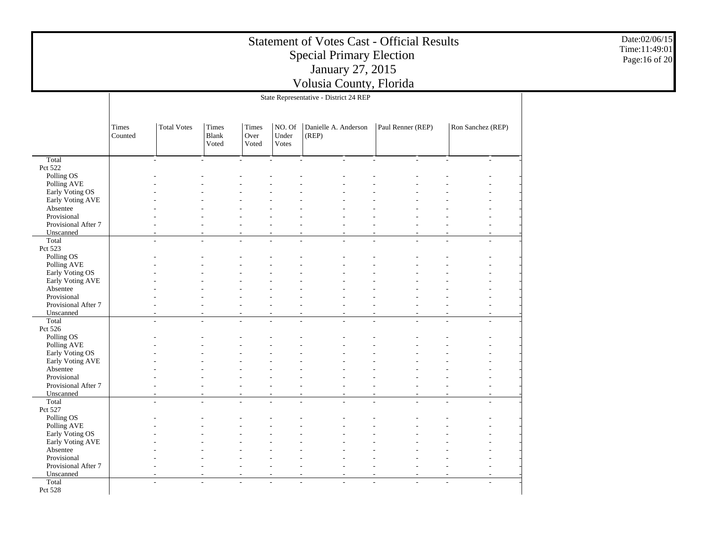|                                     |                  |                    |                                       |                        |                          | <b>Statement of Votes Cast - Official Results</b><br><b>Special Primary Election</b><br>January 27, 2015<br>Volusia County, Florida |                   |                   | Date:02/06/15<br>Time:11:49:01<br>Page:16 of 20 |
|-------------------------------------|------------------|--------------------|---------------------------------------|------------------------|--------------------------|-------------------------------------------------------------------------------------------------------------------------------------|-------------------|-------------------|-------------------------------------------------|
|                                     |                  |                    |                                       |                        |                          | State Representative - District 24 REP                                                                                              |                   |                   |                                                 |
|                                     |                  |                    |                                       |                        |                          |                                                                                                                                     |                   |                   |                                                 |
|                                     | Times<br>Counted | <b>Total Votes</b> | <b>Times</b><br><b>Blank</b><br>Voted | Times<br>Over<br>Voted | NO. Of<br>Under<br>Votes | Danielle A. Anderson<br>(REP)                                                                                                       | Paul Renner (REP) | Ron Sanchez (REP) |                                                 |
| Total                               |                  | $\overline{a}$     |                                       |                        |                          | $\overline{a}$<br>$\sim$                                                                                                            |                   |                   |                                                 |
| Pct 522                             |                  |                    |                                       |                        |                          |                                                                                                                                     |                   |                   |                                                 |
| Polling OS                          |                  |                    |                                       |                        |                          |                                                                                                                                     |                   |                   |                                                 |
| Polling AVE                         |                  |                    |                                       |                        |                          |                                                                                                                                     |                   |                   |                                                 |
| Early Voting OS<br>Early Voting AVE |                  |                    |                                       |                        |                          |                                                                                                                                     |                   |                   |                                                 |
| Absentee                            |                  |                    |                                       |                        |                          |                                                                                                                                     |                   |                   |                                                 |
| Provisional                         |                  |                    |                                       |                        |                          |                                                                                                                                     |                   |                   |                                                 |
| Provisional After 7                 |                  |                    |                                       |                        |                          |                                                                                                                                     |                   |                   |                                                 |
| Unscanned                           |                  |                    |                                       |                        |                          |                                                                                                                                     |                   |                   |                                                 |
| Total                               |                  |                    |                                       |                        |                          |                                                                                                                                     |                   |                   |                                                 |
| Pct 523                             |                  |                    |                                       |                        |                          |                                                                                                                                     |                   |                   |                                                 |
| Polling OS                          |                  |                    |                                       |                        |                          |                                                                                                                                     |                   |                   |                                                 |
| Polling AVE<br>Early Voting OS      |                  |                    |                                       |                        |                          |                                                                                                                                     |                   |                   |                                                 |
| Early Voting AVE                    |                  |                    |                                       |                        |                          |                                                                                                                                     |                   |                   |                                                 |
| Absentee                            |                  |                    |                                       |                        |                          |                                                                                                                                     |                   |                   |                                                 |
| Provisional                         |                  |                    |                                       |                        |                          |                                                                                                                                     |                   |                   |                                                 |
| Provisional After 7                 |                  |                    |                                       |                        |                          |                                                                                                                                     |                   |                   |                                                 |
| Unscanned                           |                  |                    |                                       |                        |                          |                                                                                                                                     |                   |                   |                                                 |
| Total                               |                  |                    |                                       |                        |                          |                                                                                                                                     |                   |                   |                                                 |
| Pct 526                             |                  |                    |                                       |                        |                          |                                                                                                                                     |                   |                   |                                                 |
| Polling OS                          |                  |                    |                                       |                        |                          |                                                                                                                                     |                   |                   |                                                 |
| Polling AVE<br>Early Voting OS      |                  |                    |                                       |                        |                          |                                                                                                                                     |                   |                   |                                                 |
| Early Voting AVE                    |                  |                    |                                       |                        |                          |                                                                                                                                     |                   |                   |                                                 |
| Absentee                            |                  |                    |                                       |                        |                          |                                                                                                                                     |                   |                   |                                                 |
| Provisional                         |                  |                    |                                       |                        |                          |                                                                                                                                     |                   |                   |                                                 |
| Provisional After 7                 |                  |                    |                                       |                        |                          |                                                                                                                                     |                   |                   |                                                 |
| Unscanned                           |                  |                    |                                       |                        |                          |                                                                                                                                     |                   |                   |                                                 |
| Total                               |                  |                    |                                       |                        |                          |                                                                                                                                     |                   |                   |                                                 |
| Pct 527                             |                  |                    |                                       |                        |                          |                                                                                                                                     |                   |                   |                                                 |
| Polling OS<br>Polling AVE           |                  |                    |                                       |                        |                          |                                                                                                                                     |                   |                   |                                                 |
| Early Voting OS                     |                  |                    |                                       |                        |                          |                                                                                                                                     |                   |                   |                                                 |
| Early Voting AVE                    |                  |                    |                                       |                        |                          |                                                                                                                                     |                   |                   |                                                 |
| Absentee                            |                  |                    |                                       |                        |                          |                                                                                                                                     |                   |                   |                                                 |
| Provisional                         |                  |                    |                                       |                        |                          |                                                                                                                                     |                   |                   |                                                 |
| Provisional After 7                 |                  |                    |                                       |                        |                          |                                                                                                                                     |                   |                   |                                                 |
| Unscanned                           |                  |                    |                                       |                        |                          |                                                                                                                                     |                   |                   |                                                 |
| Total                               |                  |                    |                                       |                        |                          |                                                                                                                                     |                   |                   |                                                 |
| Pct 528                             |                  |                    |                                       |                        |                          |                                                                                                                                     |                   |                   |                                                 |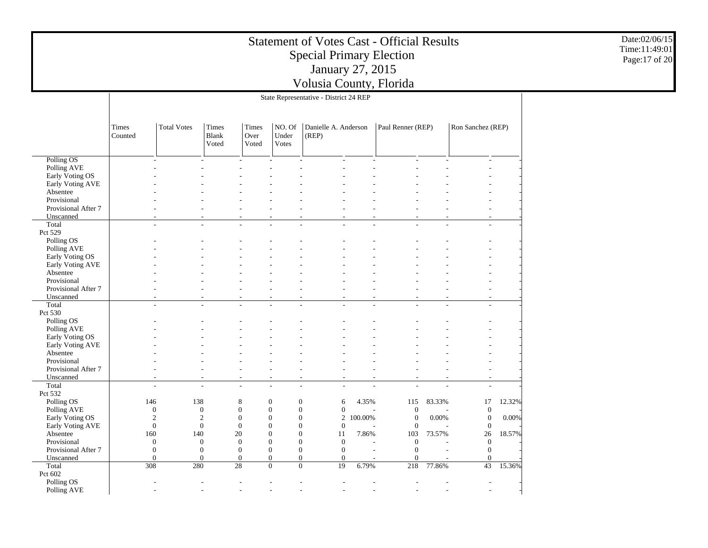|                                                                                 |                  | Date:02/06/15<br>Time:11:49:01<br>Page: 17 of 20                        |                                                                     |                                                                          |                                                                                |                                                                                                                                        |                  |                                                                             |                 |                                                                          |                 |  |  |
|---------------------------------------------------------------------------------|------------------|-------------------------------------------------------------------------|---------------------------------------------------------------------|--------------------------------------------------------------------------|--------------------------------------------------------------------------------|----------------------------------------------------------------------------------------------------------------------------------------|------------------|-----------------------------------------------------------------------------|-----------------|--------------------------------------------------------------------------|-----------------|--|--|
|                                                                                 |                  |                                                                         |                                                                     |                                                                          |                                                                                | State Representative - District 24 REP                                                                                                 |                  |                                                                             |                 |                                                                          |                 |  |  |
|                                                                                 | Times<br>Counted | <b>Total Votes</b>                                                      | <b>Times</b><br><b>Blank</b><br>Voted                               | Times<br>Over<br>Voted                                                   | NO. Of<br>Under<br>Votes                                                       | Danielle A. Anderson<br>(REP)                                                                                                          |                  | Paul Renner (REP)                                                           |                 | Ron Sanchez (REP)                                                        |                 |  |  |
| Polling OS<br>Polling AVE<br>Early Voting OS<br>Early Voting AVE<br>Absentee    |                  |                                                                         |                                                                     |                                                                          |                                                                                |                                                                                                                                        |                  |                                                                             |                 |                                                                          |                 |  |  |
| Provisional<br>Provisional After 7<br>Unscanned<br>Total<br>Pct 529             |                  | ÷                                                                       |                                                                     |                                                                          |                                                                                |                                                                                                                                        |                  |                                                                             |                 |                                                                          |                 |  |  |
| Polling OS<br>Polling AVE<br>Early Voting OS<br>Early Voting AVE                |                  |                                                                         |                                                                     |                                                                          |                                                                                |                                                                                                                                        |                  |                                                                             |                 |                                                                          |                 |  |  |
| Absentee<br>Provisional<br>Provisional After 7<br>Unscanned<br>Total            |                  | L.                                                                      |                                                                     |                                                                          |                                                                                |                                                                                                                                        |                  |                                                                             |                 |                                                                          |                 |  |  |
| Pct 530<br>Polling OS<br>Polling AVE<br>Early Voting OS                         |                  |                                                                         |                                                                     |                                                                          |                                                                                |                                                                                                                                        |                  |                                                                             |                 |                                                                          |                 |  |  |
| Early Voting AVE<br>Absentee<br>Provisional<br>Provisional After 7<br>Unscanned |                  |                                                                         |                                                                     | $\overline{\phantom{a}}$                                                 | $\sim$                                                                         |                                                                                                                                        |                  |                                                                             |                 |                                                                          |                 |  |  |
| Total<br>Pct 532<br>Polling OS                                                  |                  | $\overline{a}$<br>146                                                   | $\sim$<br>138                                                       | $\sim$<br>8                                                              | $\mathbf{0}$                                                                   | $\sim$<br>$\sim$<br>$\boldsymbol{0}$<br>6                                                                                              | 4.35%            | 115                                                                         | 83.33%          | $\sim$<br>17                                                             | 12.32%          |  |  |
| Polling AVE<br>Early Voting OS<br>Early Voting AVE<br>Absentee<br>Provisional   |                  | $\mathbf{0}$<br>$\overline{2}$<br>$\overline{0}$<br>160<br>$\mathbf{0}$ | $\mathbf{0}$<br>$\overline{2}$<br>$\overline{0}$<br>140<br>$\theta$ | $\boldsymbol{0}$<br>$\mathbf{0}$<br>$\overline{0}$<br>20<br>$\mathbf{0}$ | $\overline{0}$<br>$\boldsymbol{0}$<br>$\Omega$<br>$\boldsymbol{0}$<br>$\theta$ | $\boldsymbol{0}$<br>$\boldsymbol{0}$<br>$\overline{2}$<br>0<br>$\overline{0}$<br>$\theta$<br>0<br>11<br>$\overline{0}$<br>$\mathbf{0}$ | 100.00%<br>7.86% | $\boldsymbol{0}$<br>$\mathbf{0}$<br>$\boldsymbol{0}$<br>103<br>$\mathbf{0}$ | 0.00%<br>73.57% | $\boldsymbol{0}$<br>$\boldsymbol{0}$<br>$\theta$<br>26<br>$\overline{0}$ | 0.00%<br>18.57% |  |  |
| Provisional After 7<br>Unscanned<br>Total                                       |                  | $\mathbf{0}$<br>$\overline{0}$<br>308                                   | $\mathbf{0}$<br>$\mathbf{0}$<br>280                                 | $\mathbf{0}$<br>$\overline{0}$<br>$28\,$                                 | $\boldsymbol{0}$<br>$\overline{0}$<br>$\overline{0}$                           | $\boldsymbol{0}$<br>$\mathbf{0}$<br>$\overline{0}$<br>$\theta$<br>$\overline{0}$<br>19                                                 | 6.79%            | $\boldsymbol{0}$<br>$\overline{0}$<br>218                                   | 77.86%          | $\mathbf{0}$<br>$\overline{0}$<br>43                                     | 15.36%          |  |  |
| Pct 602<br>Polling OS<br>Polling AVE                                            |                  | ٠<br>$\sim$                                                             | $\sim$                                                              | $\sim$                                                                   | $\sim$                                                                         | $\sim$                                                                                                                                 | $\sim$           |                                                                             | $\sim$          | $\overline{a}$<br>$\overline{\phantom{a}}$                               |                 |  |  |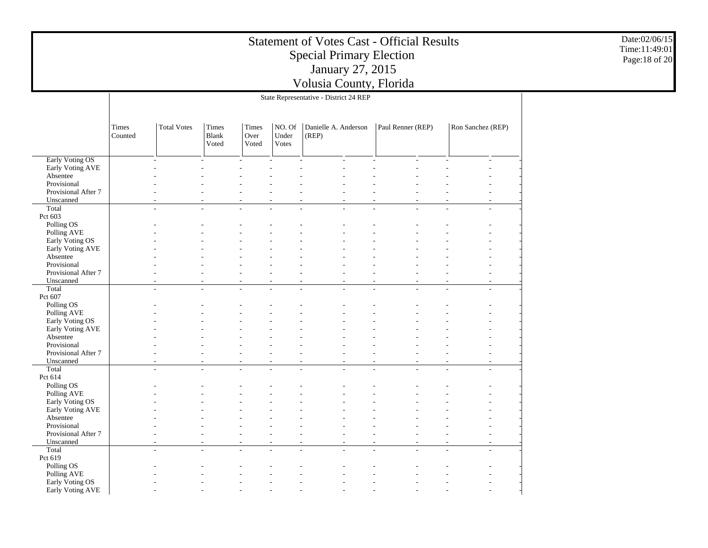|                                    |                  | Date:02/06/15<br>Time:11:49:01<br>Page: 18 of 20 |                          |                                    |                          |                                                      |                                                      |                                                      |  |
|------------------------------------|------------------|--------------------------------------------------|--------------------------|------------------------------------|--------------------------|------------------------------------------------------|------------------------------------------------------|------------------------------------------------------|--|
|                                    |                  |                                                  |                          |                                    |                          | State Representative - District 24 REP               |                                                      |                                                      |  |
|                                    | Times<br>Counted | <b>Total Votes</b>                               |                          |                                    |                          |                                                      |                                                      |                                                      |  |
| Early Voting OS                    |                  | ÷,                                               |                          |                                    |                          | $\sim$                                               |                                                      |                                                      |  |
| Early Voting AVE<br>Absentee       |                  |                                                  |                          |                                    |                          |                                                      |                                                      |                                                      |  |
| Provisional                        |                  |                                                  |                          |                                    |                          |                                                      |                                                      |                                                      |  |
| Provisional After 7                |                  |                                                  |                          |                                    |                          |                                                      |                                                      |                                                      |  |
| Unscanned<br>Total                 |                  | ٠                                                |                          |                                    |                          |                                                      |                                                      |                                                      |  |
| Pct 603                            |                  |                                                  |                          |                                    |                          |                                                      |                                                      |                                                      |  |
| Polling OS                         |                  |                                                  |                          |                                    |                          |                                                      |                                                      |                                                      |  |
| Polling AVE<br>Early Voting OS     |                  |                                                  |                          |                                    |                          |                                                      |                                                      |                                                      |  |
| Early Voting AVE                   |                  |                                                  |                          |                                    |                          |                                                      |                                                      |                                                      |  |
| Absentee                           |                  |                                                  |                          |                                    |                          |                                                      |                                                      |                                                      |  |
| Provisional<br>Provisional After 7 |                  |                                                  |                          |                                    |                          |                                                      |                                                      |                                                      |  |
| Unscanned                          |                  |                                                  |                          |                                    |                          |                                                      |                                                      |                                                      |  |
| Total                              |                  | $\overline{\phantom{a}}$                         | $\overline{a}$           | $\overline{a}$                     |                          | $\overline{a}$                                       |                                                      |                                                      |  |
| Pct 607                            |                  |                                                  |                          |                                    |                          |                                                      |                                                      |                                                      |  |
| Polling OS<br>Polling AVE          |                  |                                                  |                          |                                    |                          |                                                      |                                                      |                                                      |  |
| Early Voting OS                    |                  |                                                  |                          |                                    |                          |                                                      |                                                      |                                                      |  |
| Early Voting AVE                   |                  |                                                  |                          |                                    |                          |                                                      |                                                      |                                                      |  |
| Absentee<br>Provisional            |                  |                                                  |                          |                                    |                          |                                                      |                                                      |                                                      |  |
| Provisional After 7                |                  |                                                  |                          |                                    |                          |                                                      |                                                      |                                                      |  |
| Unscanned                          |                  |                                                  |                          | ٠                                  |                          |                                                      |                                                      |                                                      |  |
| Total<br>Pct 614                   |                  | L,                                               |                          | $\overline{a}$                     |                          |                                                      |                                                      |                                                      |  |
| Polling OS                         |                  |                                                  |                          |                                    |                          |                                                      |                                                      |                                                      |  |
| Polling AVE                        |                  |                                                  |                          |                                    |                          |                                                      |                                                      |                                                      |  |
| Early Voting OS                    |                  |                                                  |                          |                                    |                          |                                                      |                                                      |                                                      |  |
| Early Voting AVE<br>Absentee       |                  |                                                  |                          |                                    |                          |                                                      |                                                      |                                                      |  |
| Provisional                        |                  |                                                  |                          |                                    |                          |                                                      |                                                      |                                                      |  |
| Provisional After 7                |                  | $\overline{a}$                                   | $\overline{\phantom{a}}$ | $\overline{\phantom{a}}$           | $\overline{\phantom{a}}$ | $\overline{\phantom{a}}$<br>$\overline{\phantom{a}}$ | $\overline{\phantom{a}}$<br>$\overline{\phantom{a}}$ | $\overline{\phantom{a}}$<br>$\overline{\phantom{a}}$ |  |
| Unscanned<br>Total                 |                  | $\overline{\phantom{a}}$<br>$\sim$               | $\sim$                   | $\overline{\phantom{a}}$<br>$\sim$ | $\overline{\phantom{a}}$ | $\overline{\phantom{a}}$                             | $\overline{\phantom{a}}$<br>$\sim$                   | $\overline{\phantom{a}}$<br>$\overline{\phantom{a}}$ |  |
| Pct 619                            |                  |                                                  |                          |                                    |                          |                                                      |                                                      |                                                      |  |
| Polling OS                         |                  |                                                  |                          |                                    |                          |                                                      |                                                      |                                                      |  |
| Polling AVE<br>Early Voting OS     |                  |                                                  |                          |                                    |                          |                                                      |                                                      |                                                      |  |
| Early Voting AVE                   |                  |                                                  |                          |                                    |                          |                                                      |                                                      |                                                      |  |
|                                    |                  |                                                  |                          |                                    |                          |                                                      |                                                      |                                                      |  |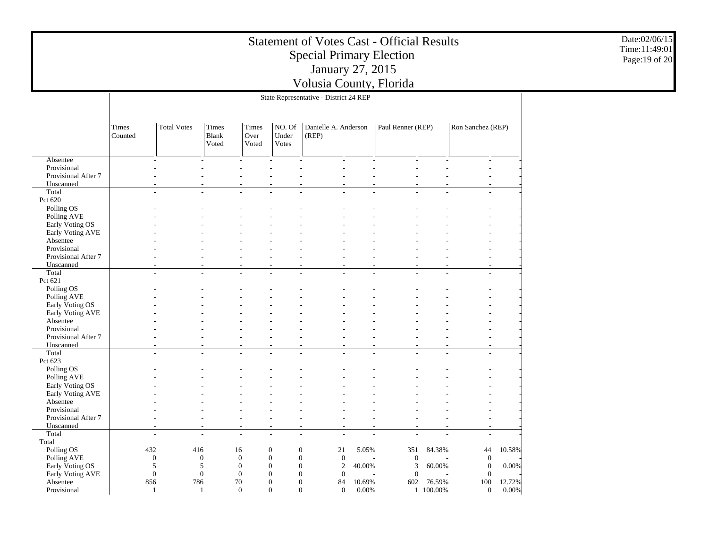|                                    |                  | Date:02/06/15<br>Time:11:49:01<br>Page: 19 of 20 |                                       |                              |                          |                                                                   |        |                   |           |                              |        |  |
|------------------------------------|------------------|--------------------------------------------------|---------------------------------------|------------------------------|--------------------------|-------------------------------------------------------------------|--------|-------------------|-----------|------------------------------|--------|--|
|                                    |                  |                                                  |                                       |                              |                          | Volusia County, Florida<br>State Representative - District 24 REP |        |                   |           |                              |        |  |
|                                    |                  |                                                  |                                       |                              |                          |                                                                   |        |                   |           |                              |        |  |
|                                    | Times<br>Counted | <b>Total Votes</b>                               | <b>Times</b><br><b>Blank</b><br>Voted | Times<br>Over<br>Voted       | NO. Of<br>Under<br>Votes | Danielle A. Anderson<br>(REP)                                     |        | Paul Renner (REP) |           | Ron Sanchez (REP)            |        |  |
| Absentee                           |                  |                                                  |                                       |                              |                          |                                                                   |        |                   |           |                              |        |  |
| Provisional                        |                  |                                                  |                                       |                              |                          |                                                                   |        |                   |           |                              |        |  |
| Provisional After 7                |                  |                                                  |                                       |                              |                          |                                                                   |        |                   |           |                              |        |  |
| Unscanned<br>Total                 |                  | ÷                                                |                                       | $\sim$                       |                          | $\sim$                                                            |        |                   |           | $\sim$                       |        |  |
| Pct 620                            |                  |                                                  |                                       |                              |                          |                                                                   |        |                   |           |                              |        |  |
| Polling OS                         |                  |                                                  |                                       |                              |                          |                                                                   |        |                   |           |                              |        |  |
| Polling AVE                        |                  |                                                  |                                       |                              |                          |                                                                   |        |                   |           |                              |        |  |
| Early Voting OS                    |                  |                                                  |                                       |                              |                          |                                                                   |        |                   |           |                              |        |  |
| Early Voting AVE                   |                  |                                                  |                                       |                              |                          |                                                                   |        |                   |           |                              |        |  |
| Absentee                           |                  |                                                  |                                       |                              |                          |                                                                   |        |                   |           |                              |        |  |
| Provisional<br>Provisional After 7 |                  |                                                  |                                       |                              |                          |                                                                   |        |                   |           |                              |        |  |
| Unscanned                          |                  |                                                  |                                       |                              |                          |                                                                   |        |                   |           |                              |        |  |
| Total                              |                  |                                                  |                                       |                              |                          |                                                                   |        |                   |           |                              |        |  |
| Pct 621                            |                  |                                                  |                                       |                              |                          |                                                                   |        |                   |           |                              |        |  |
| Polling OS                         |                  |                                                  |                                       |                              |                          |                                                                   |        |                   |           |                              |        |  |
| Polling AVE                        |                  |                                                  |                                       |                              |                          |                                                                   |        |                   |           |                              |        |  |
| Early Voting OS                    |                  |                                                  |                                       |                              |                          |                                                                   |        |                   |           |                              |        |  |
| Early Voting AVE                   |                  |                                                  |                                       |                              |                          |                                                                   |        |                   |           |                              |        |  |
| Absentee<br>Provisional            |                  |                                                  |                                       |                              |                          |                                                                   |        |                   |           |                              |        |  |
| Provisional After 7                |                  |                                                  |                                       |                              |                          |                                                                   |        |                   |           |                              |        |  |
| Unscanned                          |                  |                                                  |                                       |                              |                          |                                                                   |        |                   |           |                              |        |  |
| Total                              |                  | $\sim$                                           |                                       | $\overline{\phantom{a}}$     |                          |                                                                   |        |                   |           | $\sim$                       |        |  |
| Pct 623                            |                  |                                                  |                                       |                              |                          |                                                                   |        |                   |           |                              |        |  |
| Polling OS                         |                  |                                                  |                                       |                              |                          |                                                                   |        |                   |           |                              |        |  |
| Polling AVE                        |                  |                                                  |                                       |                              |                          |                                                                   |        |                   |           |                              |        |  |
| Early Voting OS                    |                  |                                                  |                                       |                              |                          |                                                                   |        |                   |           |                              |        |  |
| Early Voting AVE<br>Absentee       |                  |                                                  |                                       |                              |                          |                                                                   |        |                   |           |                              |        |  |
| Provisional                        |                  |                                                  |                                       |                              |                          |                                                                   |        |                   |           |                              |        |  |
| Provisional After 7                |                  |                                                  |                                       |                              |                          |                                                                   |        |                   |           |                              |        |  |
| Unscanned                          |                  |                                                  |                                       | $\overline{\phantom{a}}$     | $\sim$                   |                                                                   |        |                   |           |                              |        |  |
| Total                              |                  | $\sim$                                           | $\sim$                                | $\sim$                       |                          | ÷                                                                 |        |                   |           | $\overline{a}$               |        |  |
| Total                              |                  |                                                  |                                       |                              |                          |                                                                   |        |                   |           |                              |        |  |
| Polling OS                         |                  | 432                                              | 416                                   | 16                           | $\theta$                 | $\overline{0}$<br>21                                              | 5.05%  | 351               | 84.38%    | 44                           | 10.58% |  |
| Polling AVE                        |                  | $\mathbf{0}$                                     | $\mathbf{0}$                          | $\mathbf{0}$                 | $\boldsymbol{0}$         | $\boldsymbol{0}$<br>$\boldsymbol{0}$                              |        | $\boldsymbol{0}$  |           | $\mathbf{0}$                 |        |  |
| Early Voting OS                    |                  | 5<br>$\mathbf{0}$                                | 5<br>$\boldsymbol{0}$                 | $\mathbf{0}$<br>$\mathbf{0}$ | 0<br>0                   | $\mathbf{0}$<br>2<br>$\mathbf{0}$<br>$\mathbf{0}$                 | 40.00% | 3<br>$\mathbf{0}$ | 60.00%    | $\mathbf{0}$<br>$\mathbf{0}$ | 0.00%  |  |
| Early Voting AVE<br>Absentee       |                  | 856                                              | 786                                   | 70                           | $\overline{0}$           | $\overline{0}$<br>84                                              | 10.69% | 602               | 76.59%    | 100                          | 12.72% |  |
| Provisional                        |                  |                                                  |                                       | $\Omega$                     | $\Omega$                 | $\Omega$<br>$\overline{0}$                                        | 0.00%  |                   | 1 100.00% | $\overline{0}$               | 0.00%  |  |